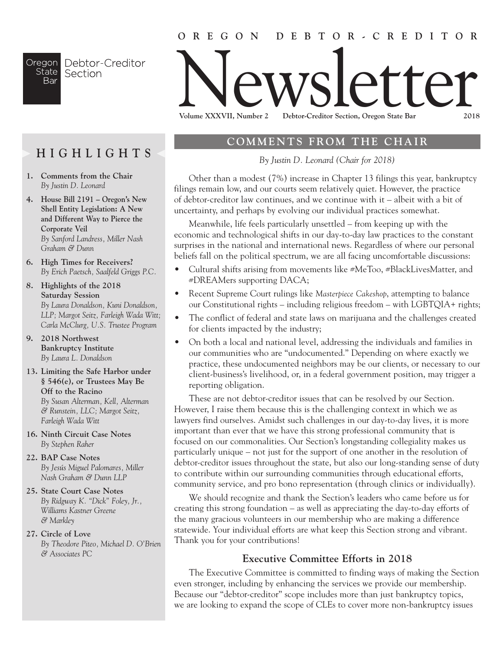## **OREGON DEBTOR-CREDITOR**

Oregon Debtor-Creditor **State** Section Bar

# Newsletter **Volume XXXVII, Number 2 Debtor-Creditor Section, Oregon State Bar 2018**

**HIGHLIGHTS**

- **1. Comments from the Chair**  *By Justin D. Leonard*
- **4. House Bill 2191 Oregon's New Shell Entity Legislation: A New and Different Way to Pierce the Corporate Veil** *By Sanford Landress, Miller Nash Graham & Dunn*
- **6. High Times for Receivers?**  *By Erich Paetsch, Saalfeld Griggs P.C.*
- *8.* **Highlights of the 2018 Saturday Session** *By Laura Donaldson, Kuni Donaldson, LLP; Margot Seitz, Farleigh Wada Witt; Carla McClurg, U.S. Trustee Program*
- **9. 2018 Northwest Bankruptcy Institute**  *By Laura L. Donaldson*
- **13. Limiting the Safe Harbor under § 546(e), or Trustees May Be Off to the Racino**  *By Susan Alterman, Kell, Alterman & Runstein, LLC; Margot Seitz, Farleigh Wada Witt*
- **16. Ninth Circuit Case Notes**  *By Stephen Raher*
- **22. BAP Case Notes**  *By Jesús Miguel Palomares, Miller Nash Graham & Dunn LLP*
- **25. State Court Case Notes**  *By Ridgway K. "Dick" Foley, Jr., Williams Kastner Greene & Markley*
- **27. Circle of Love**  *By Theodore Piteo, Michael D. O'Brien & Associates PC*

## **COMMENTS FROM THE CHAIR**

*By Justin D. Leonard (Chair for 2018)*

Other than a modest (7%) increase in Chapter 13 filings this year, bankruptcy filings remain low, and our courts seem relatively quiet. However, the practice of debtor-creditor law continues, and we continue with it – albeit with a bit of uncertainty, and perhaps by evolving our individual practices somewhat.

Meanwhile, life feels particularly unsettled – from keeping up with the economic and technological shifts in our day-to-day law practices to the constant surprises in the national and international news. Regardless of where our personal beliefs fall on the political spectrum, we are all facing uncomfortable discussions:

- Cultural shifts arising from movements like #MeToo, #BlackLivesMatter, and #DREAMers supporting DACA;
- Recent Supreme Court rulings like *Masterpiece Cakeshop*, attempting to balance our Constitutional rights – including religious freedom – with LGBTQIA+ rights;
- The conflict of federal and state laws on marijuana and the challenges created for clients impacted by the industry;
- On both a local and national level, addressing the individuals and families in our communities who are "undocumented." Depending on where exactly we practice, these undocumented neighbors may be our clients, or necessary to our client-business's livelihood, or, in a federal government position, may trigger a reporting obligation.

These are not debtor-creditor issues that can be resolved by our Section. However, I raise them because this is the challenging context in which we as lawyers find ourselves. Amidst such challenges in our day-to-day lives, it is more important than ever that we have this strong professional community that is focused on our commonalities. Our Section's longstanding collegiality makes us particularly unique – not just for the support of one another in the resolution of debtor-creditor issues throughout the state, but also our long-standing sense of duty to contribute within our surrounding communities through educational efforts, community service, and pro bono representation (through clinics or individually).

We should recognize and thank the Section's leaders who came before us for creating this strong foundation – as well as appreciating the day-to-day efforts of the many gracious volunteers in our membership who are making a difference statewide. Your individual efforts are what keep this Section strong and vibrant. Thank you for your contributions!

## **Executive Committee Efforts in 2018**

The Executive Committee is committed to finding ways of making the Section even stronger, including by enhancing the services we provide our membership. Because our "debtor-creditor" scope includes more than just bankruptcy topics, we are looking to expand the scope of CLEs to cover more non-bankruptcy issues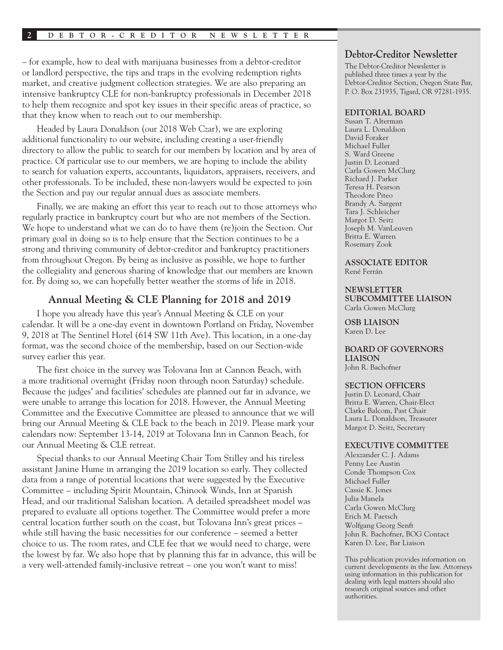– for example, how to deal with marijuana businesses from a debtor-creditor or landlord perspective, the tips and traps in the evolving redemption rights market, and creative judgment collection strategies. We are also preparing an intensive bankruptcy CLE for non-bankruptcy professionals in December 2018 to help them recognize and spot key issues in their specific areas of practice, so that they know when to reach out to our membership.

Headed by Laura Donaldson (our 2018 Web Czar), we are exploring additional functionality to our website, including creating a user-friendly directory to allow the public to search for our members by location and by area of practice. Of particular use to our members, we are hoping to include the ability to search for valuation experts, accountants, liquidators, appraisers, receivers, and other professionals. To be included, these non-lawyers would be expected to join the Section and pay our regular annual dues as associate members.

Finally, we are making an effort this year to reach out to those attorneys who regularly practice in bankruptcy court but who are not members of the Section. We hope to understand what we can do to have them (re)join the Section. Our primary goal in doing so is to help ensure that the Section continues to be a strong and thriving community of debtor-creditor and bankruptcy practitioners from throughout Oregon. By being as inclusive as possible, we hope to further the collegiality and generous sharing of knowledge that our members are known for. By doing so, we can hopefully better weather the storms of life in 2018.

#### **Annual Meeting & CLE Planning for 2018 and 2019**

I hope you already have this year's Annual Meeting & CLE on your calendar. It will be a one-day event in downtown Portland on Friday, November 9, 2018 at The Sentinel Hotel (614 SW 11th Ave). This location, in a one-day format, was the second choice of the membership, based on our Section-wide survey earlier this year.

The first choice in the survey was Tolovana Inn at Cannon Beach, with a more traditional overnight (Friday noon through noon Saturday) schedule. Because the judges' and facilities' schedules are planned out far in advance, we were unable to arrange this location for 2018. However, the Annual Meeting Committee and the Executive Committee are pleased to announce that we will bring our Annual Meeting & CLE back to the beach in 2019. Please mark your calendars now: September 13-14, 2019 at Tolovana Inn in Cannon Beach, for our Annual Meeting & CLE retreat.

Special thanks to our Annual Meeting Chair Tom Stilley and his tireless assistant Janine Hume in arranging the 2019 location so early. They collected data from a range of potential locations that were suggested by the Executive Committee – including Spirit Mountain, Chinook Winds, Inn at Spanish Head, and our traditional Salishan location. A detailed spreadsheet model was prepared to evaluate all options together. The Committee would prefer a more central location further south on the coast, but Tolovana Inn's great prices – while still having the basic necessities for our conference – seemed a better choice to us. The room rates, and CLE fee that we would need to charge, were the lowest by far. We also hope that by planning this far in advance, this will be a very well-attended family-inclusive retreat – one you won't want to miss!

#### **Debtor-Creditor Newsletter**

The Debtor-Creditor Newsletter is published three times a year by the Debtor-Creditor Section, Oregon State Bar, P. O. Box 231935, Tigard, OR 97281-1935.

#### **EDITORIAL BOARD**

Susan T. Alterman Laura L. Donaldson David Foraker Michael Fuller S. Ward Greene Justin D. Leonard Carla Gowen McClurg Richard J. Parker Teresa H. Pearson Theodore Piteo Brandy A. Sargent Tara J. Schleicher Margot D. Seitz Joseph M. VanLeuven Britta E. Warren Rosemary Zook

# **ASSOCIATE EDITOR**

René Ferrán

#### **NEWSLETTER**

**SUBCOMMITTEE LIAISON** Carla Gowen McClurg

**OSB LIAISON** Karen D. Lee

#### **BOARD OF GOVERNORS LIAISON** John R. Bachofner

#### **SECTION OFFICERS**

Justin D. Leonard, Chair Britta E. Warren, Chair-Elect Clarke Balcom, Past Chair Laura L. Donaldson, Treasurer Margot D. Seitz, Secretary

#### **EXECUTIVE COMMITTEE**

Alexzander C. J. Adams Penny Lee Austin Conde Thompson Cox Michael Fuller Cassie K. Jones Julia Manela Carla Gowen McClurg Erich M. Paetsch Wolfgang Georg Senft John R. Bachofner, BOG Contact Karen D. Lee, Bar Liaison

This publication provides information on current developments in the law. Attorneys using information in this publication for dealing with legal matters should also research original sources and other authorities.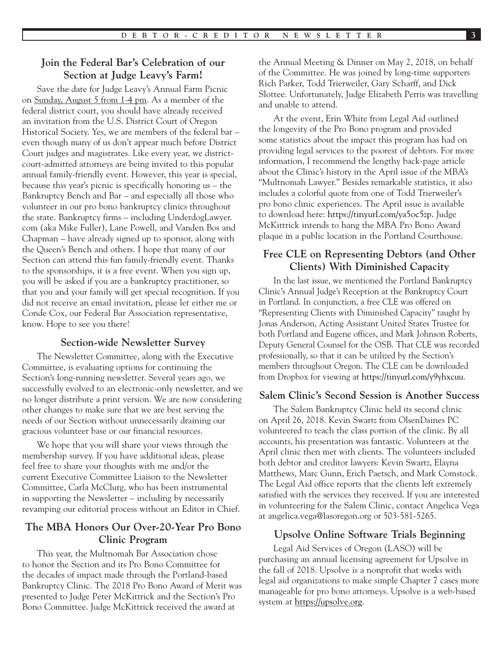## **Join the Federal Bar's Celebration of our Section at Judge Leavy's Farm!**

Save the date for Judge Leavy's Annual Farm Picnic on Sunday, August 5 from 1-4 pm. As a member of the federal district court, you should have already received an invitation from the U.S. District Court of Oregon Historical Society. Yes, we are members of the federal bar – even though many of us don't appear much before District Court judges and magistrates. Like every year, we districtcourt-admitted attorneys are being invited to this popular annual family-friendly event. However, this year is special, because this year's picnic is specifically honoring us – the Bankruptcy Bench and Bar – and especially all those who volunteer in our pro bono bankruptcy clinics throughout the state. Bankruptcy firms – including UnderdogLawyer. com (aka Mike Fuller), Lane Powell, and Vanden Bos and Chapman – have already signed up to sponsor, along with the Queen's Bench and others. I hope that many of our Section can attend this fun family-friendly event. Thanks to the sponsorships, it is a free event. When you sign up, you will be asked if you are a bankruptcy practitioner, so that you and your family will get special recognition. If you did not receive an email invitation, please let either me or Conde Cox, our Federal Bar Association representative, know. Hope to see you there!

#### **Section-wide Newsletter Survey**

The Newsletter Committee, along with the Executive Committee, is evaluating options for continuing the Section's long-running newsletter. Several years ago, we successfully evolved to an electronic-only newsletter, and we no longer distribute a print version. We are now considering other changes to make sure that we are best serving the needs of our Section without unnecessarily draining our gracious volunteer base or our financial resources.

We hope that you will share your views through the membership survey. If you have additional ideas, please feel free to share your thoughts with me and/or the current Executive Committee Liaison to the Newsletter Committee, Carla McClurg, who has been instrumental in supporting the Newsletter – including by necessarily revamping our editorial process without an Editor in Chief.

## **The MBA Honors Our Over-20-Year Pro Bono Clinic Program**

This year, the Multnomah Bar Association chose to honor the Section and its Pro Bono Committee for the decades of impact made through the Portland-based Bankruptcy Clinic. The 2018 Pro Bono Award of Merit was presented to Judge Peter McKittrick and the Section's Pro Bono Committee. Judge McKittrick received the award at

the Annual Meeting & Dinner on May 2, 2018, on behalf of the Committee. He was joined by long-time supporters Rich Parker, Todd Trierweiler, Gary Scharff, and Dick Slottee. Unfortunately, Judge Elizabeth Perris was travelling and unable to attend.

At the event, Erin White from Legal Aid outlined the longevity of the Pro Bono program and provided some statistics about the impact this program has had on providing legal services to the poorest of debtors. For more information, I recommend the lengthy back-page article about the Clinic's history in the April issue of the MBA's "Multnomah Lawyer." Besides remarkable statistics, it also includes a colorful quote from one of Todd Trierweiler's pro bono clinic experiences. The April issue is available to download here: <https://tinyurl.com/ya5oc5zp>. Judge McKittrick intends to hang the MBA Pro Bono Award plaque in a public location in the Portland Courthouse.

## **Free CLE on Representing Debtors (and Other Clients) With Diminished Capacity**

In the last issue, we mentioned the Portland Bankruptcy Clinic's Annual Judge's Reception at the Bankruptcy Court in Portland. In conjunction, a free CLE was offered on "Representing Clients with Diminished Capacity" taught by Jonas Anderson, Acting Assistant United States Trustee for both Portland and Eugene offices, and Mark Johnson Roberts, Deputy General Counsel for the OSB. That CLE was recorded professionally, so that it can be utilized by the Section's members throughout Oregon. The CLE can be downloaded from Dropbox for viewing at<https://tinyurl.com/y9yhxcuu>.

#### **Salem Clinic's Second Session is Another Success**

The Salem Bankruptcy Clinic held its second clinic on April 26, 2018. Kevin Swartz from OlsenDaines PC volunteered to teach the class portion of the clinic. By all accounts, his presentation was fantastic. Volunteers at the April clinic then met with clients. The volunteers included both debtor and creditor lawyers: Kevin Swartz, Elayna Matthews, Marc Gunn, Erich Paetsch, and Mark Comstock. The Legal Aid office reports that the clients left extremely satisfied with the services they received. If you are interested in volunteering for the Salem Clinic, contact Angelica Vega at angelica.vega@lasoregon.org or 503-581-5265.

## **Upsolve Online Software Trials Beginning**

Legal Aid Services of Oregon (LASO) will be purchasing an annual licensing agreement for Upsolve in the fall of 2018. Upsolve is a nonprofit that works with legal aid organizations to make simple Chapter 7 cases more manageable for pro bono attorneys. Upsolve is a web-based system at [https://upsolve.org.](https://upsolve.org)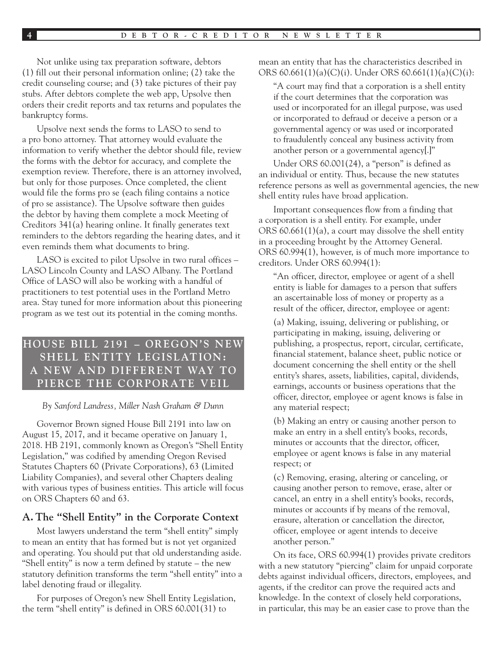Not unlike using tax preparation software, debtors (1) fill out their personal information online; (2) take the credit counseling course; and (3) take pictures of their pay stubs. After debtors complete the web app, Upsolve then orders their credit reports and tax returns and populates the bankruptcy forms.

Upsolve next sends the forms to LASO to send to a pro bono attorney. That attorney would evaluate the information to verify whether the debtor should file, review the forms with the debtor for accuracy, and complete the exemption review. Therefore, there is an attorney involved, but only for those purposes. Once completed, the client would file the forms pro se (each filing contains a notice of pro se assistance). The Upsolve software then guides the debtor by having them complete a mock Meeting of Creditors 341(a) hearing online. It finally generates text reminders to the debtors regarding the hearing dates, and it even reminds them what documents to bring.

LASO is excited to pilot Upsolve in two rural offices – LASO Lincoln County and LASO Albany. The Portland Office of LASO will also be working with a handful of practitioners to test potential uses in the Portland Metro area. Stay tuned for more information about this pioneering program as we test out its potential in the coming months.

# **HOUSE BILL 2191 - OREGON'S NEW SH ELL ENTITY LEGISLATION:**  A NEW AND DIFFERENT WAY TO **PIERCE THE CORPORATE VEIL**

#### *By Sanford Landress, Miller Nash Graham & Dunn*

Governor Brown signed House Bill 2191 into law on August 15, 2017, and it became operative on January 1, 2018. HB 2191, commonly known as Oregon's "Shell Entity Legislation," was codified by amending Oregon Revised Statutes Chapters 60 (Private Corporations), 63 (Limited Liability Companies), and several other Chapters dealing with various types of business entities. This article will focus on ORS Chapters 60 and 63.

#### **A. The "Shell Entity" in the Corporate Context**

Most lawyers understand the term "shell entity" simply to mean an entity that has formed but is not yet organized and operating. You should put that old understanding aside. "Shell entity" is now a term defined by statute – the new statutory definition transforms the term "shell entity" into a label denoting fraud or illegality.

For purposes of Oregon's new Shell Entity Legislation, the term "shell entity" is defined in ORS 60.001(31) to

mean an entity that has the characteristics described in ORS 60.661(1)(a)(C)(i). Under ORS 60.661(1)(a)(C)(i):

"A court may find that a corporation is a shell entity if the court determines that the corporation was used or incorporated for an illegal purpose, was used or incorporated to defraud or deceive a person or a governmental agency or was used or incorporated to fraudulently conceal any business activity from another person or a governmental agency[.]"

Under ORS 60.001(24), a "person" is defined as an individual or entity. Thus, because the new statutes reference persons as well as governmental agencies, the new shell entity rules have broad application.

Important consequences flow from a finding that a corporation is a shell entity. For example, under ORS 60.661(1)(a), a court may dissolve the shell entity in a proceeding brought by the Attorney General. ORS 60.994(1), however, is of much more importance to creditors. Under ORS 60.994(1):

"An officer, director, employee or agent of a shell entity is liable for damages to a person that suffers an ascertainable loss of money or property as a result of the officer, director, employee or agent:

(a) Making, issuing, delivering or publishing, or participating in making, issuing, delivering or publishing, a prospectus, report, circular, certificate, financial statement, balance sheet, public notice or document concerning the shell entity or the shell entity's shares, assets, liabilities, capital, dividends, earnings, accounts or business operations that the officer, director, employee or agent knows is false in any material respect;

(b) Making an entry or causing another person to make an entry in a shell entity's books, records, minutes or accounts that the director, officer, employee or agent knows is false in any material respect; or

(c) Removing, erasing, altering or canceling, or causing another person to remove, erase, alter or cancel, an entry in a shell entity's books, records, minutes or accounts if by means of the removal, erasure, alteration or cancellation the director, officer, employee or agent intends to deceive another person."

On its face, ORS 60.994(1) provides private creditors with a new statutory "piercing" claim for unpaid corporate debts against individual officers, directors, employees, and agents, if the creditor can prove the required acts and knowledge. In the context of closely held corporations, in particular, this may be an easier case to prove than the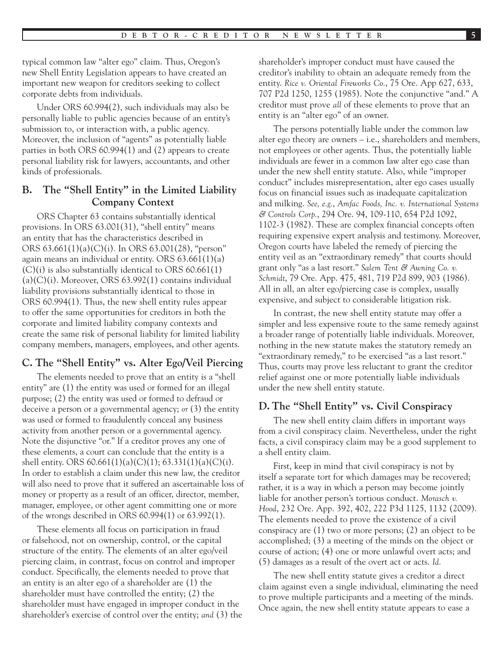typical common law "alter ego" claim. Thus, Oregon's new Shell Entity Legislation appears to have created an important new weapon for creditors seeking to collect corporate debts from individuals.

Under ORS 60.994(2), such individuals may also be personally liable to public agencies because of an entity's submission to, or interaction with, a public agency. Moreover, the inclusion of "agents" as potentially liable parties in both ORS 60.994(1) and (2) appears to create personal liability risk for lawyers, accountants, and other kinds of professionals.

## **B. The "Shell Entity" in the Limited Liability Company Context**

ORS Chapter 63 contains substantially identical provisions. In ORS 63.001(31), "shell entity" means an entity that has the characteristics described in ORS 63.661(1)(a)(C)(i). In ORS 63.001(28), "person" again means an individual or entity. ORS 63.661(1)(a)  $(C)(i)$  is also substantially identical to ORS 60.661(1)  $(a)(C)(i)$ . Moreover, ORS 63.992(1) contains individual liability provisions substantially identical to those in ORS 60.994(1). Thus, the new shell entity rules appear to offer the same opportunities for creditors in both the corporate and limited liability company contexts and create the same risk of personal liability for limited liability company members, managers, employees, and other agents.

## **C. The "Shell Entity" vs. Alter Ego/Veil Piercing**

The elements needed to prove that an entity is a "shell entity" are (1) the entity was used or formed for an illegal purpose; (2) the entity was used or formed to defraud or deceive a person or a governmental agency; *or* (3) the entity was used or formed to fraudulently conceal any business activity from another person or a governmental agency. Note the disjunctive "or." If a creditor proves any one of these elements, a court can conclude that the entity is a shell entity. ORS  $60.661(1)(a)(C)(1)$ ;  $63.331(1)(a)(C)(i)$ . In order to establish a claim under this new law, the creditor will also need to prove that it suffered an ascertainable loss of money or property as a result of an officer, director, member, manager, employee, or other agent committing one or more of the wrongs described in ORS 60.994(1) or 63.992(1).

These elements all focus on participation in fraud or falsehood, not on ownership, control, or the capital structure of the entity. The elements of an alter ego/veil piercing claim, in contrast, focus on control and improper conduct. Specifically, the elements needed to prove that an entity is an alter ego of a shareholder are (1) the shareholder must have controlled the entity; (2) the shareholder must have engaged in improper conduct in the shareholder's exercise of control over the entity; *and* (3) the shareholder's improper conduct must have caused the creditor's inability to obtain an adequate remedy from the entity. *Rice v. Oriental Fireworks Co.*, 75 Ore. App 627, 633, 707 P2d 1250, 1255 (1985). Note the conjunctive "and." A creditor must prove *all* of these elements to prove that an entity is an "alter ego" of an owner.

The persons potentially liable under the common law alter ego theory are owners – i.e., shareholders and members, not employees or other agents. Thus, the potentially liable individuals are fewer in a common law alter ego case than under the new shell entity statute. Also, while "improper conduct" includes misrepresentation, alter ego cases usually focus on financial issues such as inadequate capitalization and milking. *See, e.g.*, *Amfac Foods, Inc. v. International Systems & Controls Corp.*, 294 Ore. 94, 109-110, 654 P2d 1092, 1102-3 (1982). These are complex financial concepts often requiring expensive expert analysis and testimony. Moreover, Oregon courts have labeled the remedy of piercing the entity veil as an "extraordinary remedy" that courts should grant only "as a last resort." *Salem Tent & Awning Co. v. Schmidt*, 79 Ore. App. 475, 481, 719 P2d 899, 903 (1986). All in all, an alter ego/piercing case is complex, usually expensive, and subject to considerable litigation risk.

In contrast, the new shell entity statute may offer a simpler and less expensive route to the same remedy against a broader range of potentially liable individuals. Moreover, nothing in the new statute makes the statutory remedy an "extraordinary remedy," to be exercised "as a last resort." Thus, courts may prove less reluctant to grant the creditor relief against one or more potentially liable individuals under the new shell entity statute.

# **D. The "Shell Entity" vs. Civil Conspiracy**

The new shell entity claim differs in important ways from a civil conspiracy claim. Nevertheless, under the right facts, a civil conspiracy claim may be a good supplement to a shell entity claim.

First, keep in mind that civil conspiracy is not by itself a separate tort for which damages may be recovered; rather, it is a way in which a person may become jointly liable for another person's tortious conduct. *Morasch v. Hood*, 232 Ore. App. 392, 402, 222 P3d 1125, 1132 (2009). The elements needed to prove the existence of a civil conspiracy are (1) two or more persons; (2) an object to be accomplished; (3) a meeting of the minds on the object or course of action; (4) one or more unlawful overt acts; and (5) damages as a result of the overt act or acts. *Id.*

The new shell entity statute gives a creditor a direct claim against even a single individual, eliminating the need to prove multiple participants and a meeting of the minds. Once again, the new shell entity statute appears to ease a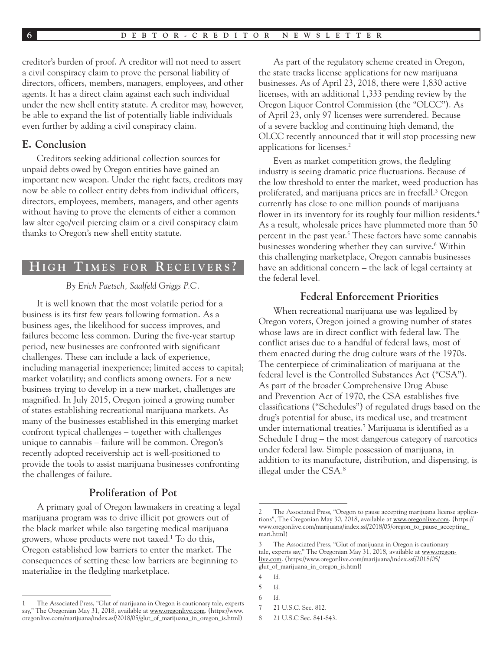creditor's burden of proof. A creditor will not need to assert a civil conspiracy claim to prove the personal liability of directors, officers, members, managers, employees, and other agents. It has a direct claim against each such individual under the new shell entity statute. A creditor may, however, be able to expand the list of potentially liable individuals even further by adding a civil conspiracy claim.

#### **E. Conclusion**

Creditors seeking additional collection sources for unpaid debts owed by Oregon entities have gained an important new weapon. Under the right facts, creditors may now be able to collect entity debts from individual officers, directors, employees, members, managers, and other agents without having to prove the elements of either a common law alter ego/veil piercing claim or a civil conspiracy claim thanks to Oregon's new shell entity statute.

# **H i g h T i m e s f o r R e c e i v e r s ?**

#### *By Erich Paetsch, Saalfeld Griggs P.C.*

It is well known that the most volatile period for a business is its first few years following formation. As a business ages, the likelihood for success improves, and failures become less common. During the five-year startup period, new businesses are confronted with significant challenges. These can include a lack of experience, including managerial inexperience; limited access to capital; market volatility; and conflicts among owners. For a new business trying to develop in a new market, challenges are magnified. In July 2015, Oregon joined a growing number of states establishing recreational marijuana markets. As many of the businesses established in this emerging market confront typical challenges – together with challenges unique to cannabis – failure will be common. Oregon's recently adopted receivership act is well-positioned to provide the tools to assist marijuana businesses confronting the challenges of failure.

## **Proliferation of Pot**

A primary goal of Oregon lawmakers in creating a legal marijuana program was to drive illicit pot growers out of the black market while also targeting medical marijuana growers, whose products were not taxed.<sup>1</sup> To do this, Oregon established low barriers to enter the market. The consequences of setting these low barriers are beginning to materialize in the fledgling marketplace.

As part of the regulatory scheme created in Oregon, the state tracks license applications for new marijuana businesses. As of April 23, 2018, there were 1,830 active licenses, with an additional 1,333 pending review by the Oregon Liquor Control Commission (the "OLCC"). As of April 23, only 97 licenses were surrendered. Because of a severe backlog and continuing high demand, the OLCC recently announced that it will stop processing new applications for licenses.2

Even as market competition grows, the fledgling industry is seeing dramatic price fluctuations. Because of the low threshold to enter the market, weed production has proliferated, and marijuana prices are in freefall.<sup>3</sup> Oregon currently has close to one million pounds of marijuana flower in its inventory for its roughly four million residents.<sup>4</sup> As a result, wholesale prices have plummeted more than 50 percent in the past year.<sup>5</sup> These factors have some cannabis businesses wondering whether they can survive.<sup>6</sup> Within this challenging marketplace, Oregon cannabis businesses have an additional concern – the lack of legal certainty at the federal level.

#### **Federal Enforcement Priorities**

When recreational marijuana use was legalized by Oregon voters, Oregon joined a growing number of states whose laws are in direct conflict with federal law. The conflict arises due to a handful of federal laws, most of them enacted during the drug culture wars of the 1970s. The centerpiece of criminalization of marijuana at the federal level is the Controlled Substances Act ("CSA"). As part of the broader Comprehensive Drug Abuse and Prevention Act of 1970, the CSA establishes five classifications ("Schedules") of regulated drugs based on the drug's potential for abuse, its medical use, and treatment under international treaties.7 Marijuana is identified as a Schedule I drug – the most dangerous category of narcotics under federal law. Simple possession of marijuana, in addition to its manufacture, distribution, and dispensing, is illegal under the CSA.8

<sup>1</sup> The Associated Press, "Glut of marijuana in Oregon is cautionary tale, experts The Oregonian May 31, 2018, available at [www.oregonlive.com](http://www.oregonlive.com). (https://www. oregonlive.com/marijuana/index.ssf/2018/05/glut\_of\_marijuana\_in\_oregon\_is.html)

<sup>2</sup> The Associated Press, "Oregon to pause accepting marijuana license applications", The Oregonian May 30, 2018, available at [www.oregonlive.com](http://www.oregonlive.com). (https:// www.oregonlive.com/marijuana/index.ssf/2018/05/oregon\_to\_pause\_accepting\_ mari.html)

<sup>3</sup> The Associated Press, "Glut of marijuana in Oregon is cautionary tale, experts say," The Oregonian May 31, 2018, available at [www.oregon](http://www.oregonlive.com)[live.com.](http://www.oregonlive.com) (https://www.oregonlive.com/marijuana/index.ssf/2018/05/ glut\_of\_marijuana\_in\_oregon\_is.html)

<sup>4</sup> *Id.*

<sup>5</sup> *Id.*

<sup>6</sup> *Id.*

<sup>7</sup> 21 U.S.C. Sec. 812.

<sup>8</sup> 21 U.S.C Sec. 841-843.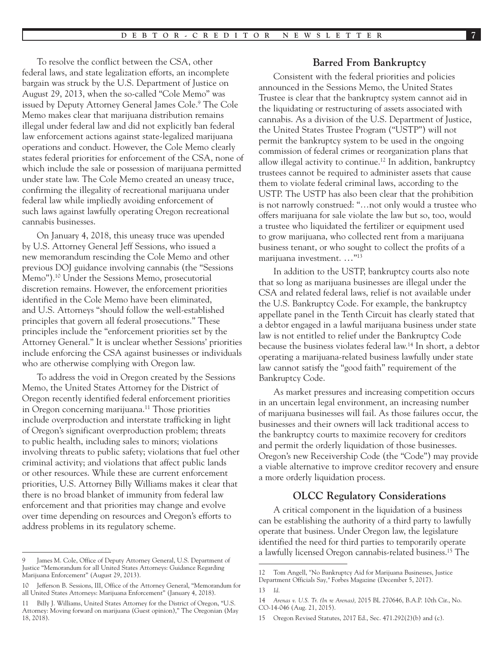To resolve the conflict between the CSA, other federal laws, and state legalization efforts, an incomplete bargain was struck by the U.S. Department of Justice on August 29, 2013, when the so-called "Cole Memo" was issued by Deputy Attorney General James Cole.9 The Cole Memo makes clear that marijuana distribution remains illegal under federal law and did not explicitly ban federal law enforcement actions against state-legalized marijuana operations and conduct. However, the Cole Memo clearly states federal priorities for enforcement of the CSA, none of which include the sale or possession of marijuana permitted under state law. The Cole Memo created an uneasy truce, confirming the illegality of recreational marijuana under federal law while impliedly avoiding enforcement of such laws against lawfully operating Oregon recreational cannabis businesses.

On January 4, 2018, this uneasy truce was upended by U.S. Attorney General Jeff Sessions, who issued a new memorandum rescinding the Cole Memo and other previous DOJ guidance involving cannabis (the "Sessions Memo").10 Under the Sessions Memo, prosecutorial discretion remains. However, the enforcement priorities identified in the Cole Memo have been eliminated, and U.S. Attorneys "should follow the well-established principles that govern all federal prosecutions." These principles include the "enforcement priorities set by the Attorney General." It is unclear whether Sessions' priorities include enforcing the CSA against businesses or individuals who are otherwise complying with Oregon law.

To address the void in Oregon created by the Sessions Memo, the United States Attorney for the District of Oregon recently identified federal enforcement priorities in Oregon concerning marijuana.11 Those priorities include overproduction and interstate trafficking in light of Oregon's significant overproduction problem; threats to public health, including sales to minors; violations involving threats to public safety; violations that fuel other criminal activity; and violations that affect public lands or other resources. While these are current enforcement priorities, U.S. Attorney Billy Williams makes it clear that there is no broad blanket of immunity from federal law enforcement and that priorities may change and evolve over time depending on resources and Oregon's efforts to address problems in its regulatory scheme.

#### **Barred From Bankruptcy**

Consistent with the federal priorities and policies announced in the Sessions Memo, the United States Trustee is clear that the bankruptcy system cannot aid in the liquidating or restructuring of assets associated with cannabis. As a division of the U.S. Department of Justice, the United States Trustee Program ("USTP") will not permit the bankruptcy system to be used in the ongoing commission of federal crimes or reorganization plans that allow illegal activity to continue.12 In addition, bankruptcy trustees cannot be required to administer assets that cause them to violate federal criminal laws, according to the USTP. The USTP has also been clear that the prohibition is not narrowly construed: "…not only would a trustee who offers marijuana for sale violate the law but so, too, would a trustee who liquidated the fertilizer or equipment used to grow marijuana, who collected rent from a marijuana business tenant, or who sought to collect the profits of a marijuana investment. …"13

In addition to the USTP, bankruptcy courts also note that so long as marijuana businesses are illegal under the CSA and related federal laws, relief is not available under the U.S. Bankruptcy Code. For example, the bankruptcy appellate panel in the Tenth Circuit has clearly stated that a debtor engaged in a lawful marijuana business under state law is not entitled to relief under the Bankruptcy Code because the business violates federal law.14 In short, a debtor operating a marijuana-related business lawfully under state law cannot satisfy the "good faith" requirement of the Bankruptcy Code.

As market pressures and increasing competition occurs in an uncertain legal environment, an increasing number of marijuana businesses will fail. As those failures occur, the businesses and their owners will lack traditional access to the bankruptcy courts to maximize recovery for creditors and permit the orderly liquidation of those businesses. Oregon's new Receivership Code (the "Code") may provide a viable alternative to improve creditor recovery and ensure a more orderly liquidation process.

#### **OLCC Regulatory Considerations**

A critical component in the liquidation of a business can be establishing the authority of a third party to lawfully operate that business. Under Oregon law, the legislature identified the need for third parties to temporarily operate a lawfully licensed Oregon cannabis-related business.15 The

<sup>9</sup> James M. Cole, Office of Deputy Attorney General, U.S. Department of Justice "Memorandum for all United States Attorneys: Guidance Regarding Marijuana Enforcement" (August 29, 2013).

<sup>10</sup> Jefferson B. Sessions, III, Office of the Attorney General, "Memorandum for all United States Attorneys: Marijuana Enforcement" (January 4, 2018).

<sup>11</sup> Billy J. Williams, United States Attorney for the District of Oregon, "U.S. Attorney: Moving forward on marijuana (Guest opinion)," The Oregonian (May 18, 2018).

<sup>12</sup> Tom Angell, "No Bankruptcy Aid for Marijuana Businesses, Justice Department Officials Say*,"* Forbes Magazine (December 5, 2017).

<sup>13</sup> *Id.*

<sup>14</sup> *Arenas v. U.S. Tr. (In re Arenas),* 2015 BL 270646, B.A.P. 10th Cir., No. CO-14-046 (Aug. 21, 2015).

<sup>15</sup> Oregon Revised Statutes, 2017 Ed., Sec. 471.292(2)(b) and (c).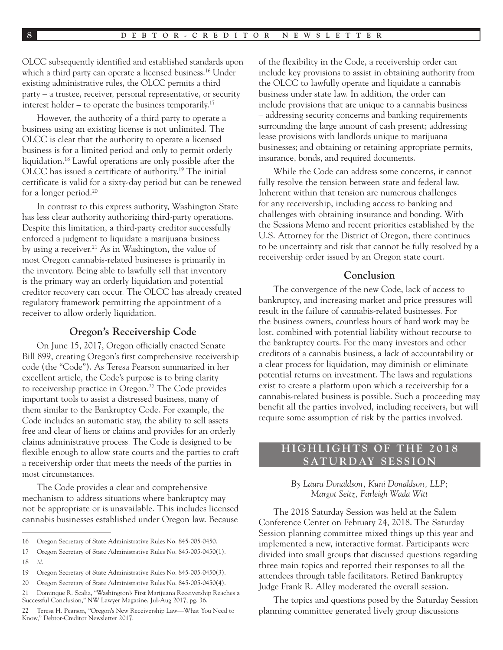OLCC subsequently identified and established standards upon which a third party can operate a licensed business.<sup>16</sup> Under existing administrative rules, the OLCC permits a third party – a trustee, receiver, personal representative, or security interest holder – to operate the business temporarily.<sup>17</sup>

However, the authority of a third party to operate a business using an existing license is not unlimited. The OLCC is clear that the authority to operate a licensed business is for a limited period and only to permit orderly liquidation.18 Lawful operations are only possible after the OLCC has issued a certificate of authority.19 The initial certificate is valid for a sixty-day period but can be renewed for a longer period.20

In contrast to this express authority, Washington State has less clear authority authorizing third-party operations. Despite this limitation, a third-party creditor successfully enforced a judgment to liquidate a marijuana business by using a receiver.<sup>21</sup> As in Washington, the value of most Oregon cannabis-related businesses is primarily in the inventory. Being able to lawfully sell that inventory is the primary way an orderly liquidation and potential creditor recovery can occur. The OLCC has already created regulatory framework permitting the appointment of a receiver to allow orderly liquidation.

#### **Oregon's Receivership Code**

On June 15, 2017, Oregon officially enacted Senate Bill 899, creating Oregon's first comprehensive receivership code (the "Code"). As Teresa Pearson summarized in her excellent article, the Code's purpose is to bring clarity to receivership practice in Oregon.<sup>22</sup> The Code provides important tools to assist a distressed business, many of them similar to the Bankruptcy Code. For example, the Code includes an automatic stay, the ability to sell assets free and clear of liens or claims and provides for an orderly claims administrative process. The Code is designed to be flexible enough to allow state courts and the parties to craft a receivership order that meets the needs of the parties in most circumstances.

The Code provides a clear and comprehensive mechanism to address situations where bankruptcy may not be appropriate or is unavailable. This includes licensed cannabis businesses established under Oregon law. Because

of the flexibility in the Code, a receivership order can include key provisions to assist in obtaining authority from the OLCC to lawfully operate and liquidate a cannabis business under state law. In addition, the order can include provisions that are unique to a cannabis business – addressing security concerns and banking requirements surrounding the large amount of cash present; addressing lease provisions with landlords unique to marijuana businesses; and obtaining or retaining appropriate permits, insurance, bonds, and required documents.

While the Code can address some concerns, it cannot fully resolve the tension between state and federal law. Inherent within that tension are numerous challenges for any receivership, including access to banking and challenges with obtaining insurance and bonding. With the Sessions Memo and recent priorities established by the U.S. Attorney for the District of Oregon, there continues to be uncertainty and risk that cannot be fully resolved by a receivership order issued by an Oregon state court.

### **Conclusion**

The convergence of the new Code, lack of access to bankruptcy, and increasing market and price pressures will result in the failure of cannabis-related businesses. For the business owners, countless hours of hard work may be lost, combined with potential liability without recourse to the bankruptcy courts. For the many investors and other creditors of a cannabis business, a lack of accountability or a clear process for liquidation, may diminish or eliminate potential returns on investment. The laws and regulations exist to create a platform upon which a receivership for a cannabis-related business is possible. Such a proceeding may benefit all the parties involved, including receivers, but will require some assumption of risk by the parties involved.

## **H I G H L I G H T S O F T H E 2 0 1 8 SATURDAY SESSION**

#### *By Laura Donaldson, Kuni Donaldson, LLP; Margot Seitz, Farleigh Wada Witt*

The 2018 Saturday Session was held at the Salem Conference Center on February 24, 2018. The Saturday Session planning committee mixed things up this year and implemented a new, interactive format. Participants were divided into small groups that discussed questions regarding three main topics and reported their responses to all the attendees through table facilitators. Retired Bankruptcy Judge Frank R. Alley moderated the overall session.

The topics and questions posed by the Saturday Session planning committee generated lively group discussions

<sup>16</sup> Oregon Secretary of State Administrative Rules No. 845-005-0450.

<sup>17</sup> Oregon Secretary of State Administrative Rules No. 845-005-0450(1). 18 *Id*.

<sup>19</sup> Oregon Secretary of State Administrative Rules No. 845-005-0450(3).

<sup>20</sup> Oregon Secretary of State Administrative Rules No. 845-005-0450(4).

<sup>21</sup> Dominque R. Scalia, "Washington's First Marijuana Receivership Reaches a Successful Conclusion," NW Lawyer Magazine, Jul-Aug 2017, pg. 36.

<sup>22</sup> Teresa H. Pearson, "Oregon's New Receivership Law—What You Need to Know," Debtor-Creditor Newsletter 2017.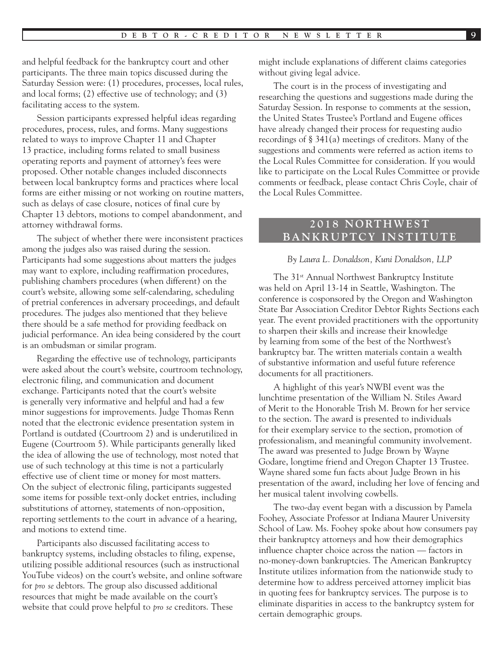and helpful feedback for the bankruptcy court and other participants. The three main topics discussed during the Saturday Session were: (1) procedures, processes, local rules, and local forms; (2) effective use of technology; and (3) facilitating access to the system.

Session participants expressed helpful ideas regarding procedures, process, rules, and forms. Many suggestions related to ways to improve Chapter 11 and Chapter 13 practice, including forms related to small business operating reports and payment of attorney's fees were proposed. Other notable changes included disconnects between local bankruptcy forms and practices where local forms are either missing or not working on routine matters, such as delays of case closure, notices of final cure by Chapter 13 debtors, motions to compel abandonment, and attorney withdrawal forms.

The subject of whether there were inconsistent practices among the judges also was raised during the session. Participants had some suggestions about matters the judges may want to explore, including reaffirmation procedures, publishing chambers procedures (when different) on the court's website, allowing some self-calendaring, scheduling of pretrial conferences in adversary proceedings, and default procedures. The judges also mentioned that they believe there should be a safe method for providing feedback on judicial performance. An idea being considered by the court is an ombudsman or similar program.

Regarding the effective use of technology, participants were asked about the court's website, courtroom technology, electronic filing, and communication and document exchange. Participants noted that the court's website is generally very informative and helpful and had a few minor suggestions for improvements. Judge Thomas Renn noted that the electronic evidence presentation system in Portland is outdated (Courtroom 2) and is underutilized in Eugene (Courtroom 5). While participants generally liked the idea of allowing the use of technology, most noted that use of such technology at this time is not a particularly effective use of client time or money for most matters. On the subject of electronic filing, participants suggested some items for possible text-only docket entries, including substitutions of attorney, statements of non-opposition, reporting settlements to the court in advance of a hearing, and motions to extend time.

Participants also discussed facilitating access to bankruptcy systems, including obstacles to filing, expense, utilizing possible additional resources (such as instructional YouTube videos) on the court's website, and online software for *pro se* debtors. The group also discussed additional resources that might be made available on the court's website that could prove helpful to *pro se* creditors. These

might include explanations of different claims categories without giving legal advice.

The court is in the process of investigating and researching the questions and suggestions made during the Saturday Session. In response to comments at the session, the United States Trustee's Portland and Eugene offices have already changed their process for requesting audio recordings of § 341(a) meetings of creditors. Many of the suggestions and comments were referred as action items to the Local Rules Committee for consideration. If you would like to participate on the Local Rules Committee or provide comments or feedback, please contact Chris Coyle, chair of the Local Rules Committee.

## **2 0 1 8 N O RT H W E S T BANKRUPTCY INSTITUTE**

#### *By Laura L. Donaldson, Kuni Donaldson, LLP*

The 31st Annual Northwest Bankruptcy Institute was held on April 13-14 in Seattle, Washington. The conference is cosponsored by the Oregon and Washington State Bar Association Creditor Debtor Rights Sections each year. The event provided practitioners with the opportunity to sharpen their skills and increase their knowledge by learning from some of the best of the Northwest's bankruptcy bar. The written materials contain a wealth of substantive information and useful future reference documents for all practitioners.

A highlight of this year's NWBI event was the lunchtime presentation of the William N. Stiles Award of Merit to the Honorable Trish M. Brown for her service to the section. The award is presented to individuals for their exemplary service to the section, promotion of professionalism, and meaningful community involvement. The award was presented to Judge Brown by Wayne Godare, longtime friend and Oregon Chapter 13 Trustee. Wayne shared some fun facts about Judge Brown in his presentation of the award, including her love of fencing and her musical talent involving cowbells.

The two-day event began with a discussion by Pamela Foohey, Associate Professor at Indiana Maurer University School of Law. Ms. Foohey spoke about how consumers pay their bankruptcy attorneys and how their demographics influence chapter choice across the nation — factors in no-money-down bankruptcies. The American Bankruptcy Institute utilizes information from the nationwide study to determine how to address perceived attorney implicit bias in quoting fees for bankruptcy services. The purpose is to eliminate disparities in access to the bankruptcy system for certain demographic groups.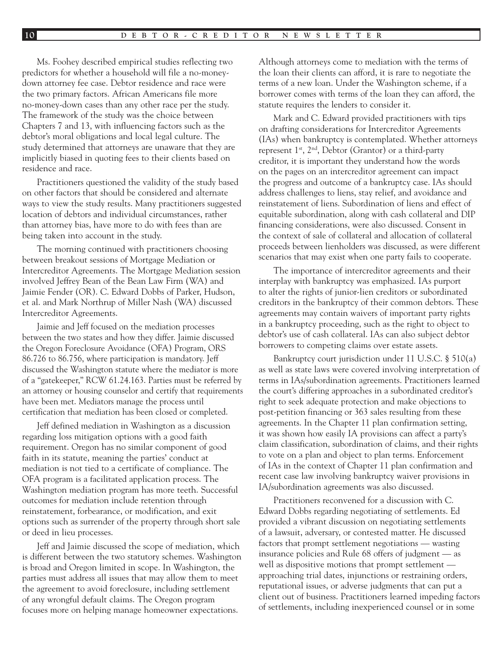Ms. Foohey described empirical studies reflecting two predictors for whether a household will file a no-moneydown attorney fee case. Debtor residence and race were the two primary factors. African Americans file more no-money-down cases than any other race per the study. The framework of the study was the choice between Chapters 7 and 13, with influencing factors such as the debtor's moral obligations and local legal culture. The study determined that attorneys are unaware that they are implicitly biased in quoting fees to their clients based on residence and race.

Practitioners questioned the validity of the study based on other factors that should be considered and alternate ways to view the study results. Many practitioners suggested location of debtors and individual circumstances, rather than attorney bias, have more to do with fees than are being taken into account in the study.

The morning continued with practitioners choosing between breakout sessions of Mortgage Mediation or Intercreditor Agreements. The Mortgage Mediation session involved Jeffrey Bean of the Bean Law Firm (WA) and Jaimie Fender (OR). C. Edward Dobbs of Parker, Hudson, et al. and Mark Northrup of Miller Nash (WA) discussed Intercreditor Agreements.

Jaimie and Jeff focused on the mediation processes between the two states and how they differ. Jaimie discussed the Oregon Foreclosure Avoidance (OFA) Program, ORS 86.726 to 86.756, where participation is mandatory. Jeff discussed the Washington statute where the mediator is more of a "gatekeeper," RCW 61.24.163. Parties must be referred by an attorney or housing counselor and certify that requirements have been met. Mediators manage the process until certification that mediation has been closed or completed.

Jeff defined mediation in Washington as a discussion regarding loss mitigation options with a good faith requirement. Oregon has no similar component of good faith in its statute, meaning the parties' conduct at mediation is not tied to a certificate of compliance. The OFA program is a facilitated application process. The Washington mediation program has more teeth. Successful outcomes for mediation include retention through reinstatement, forbearance, or modification, and exit options such as surrender of the property through short sale or deed in lieu processes.

Jeff and Jaimie discussed the scope of mediation, which is different between the two statutory schemes. Washington is broad and Oregon limited in scope. In Washington, the parties must address all issues that may allow them to meet the agreement to avoid foreclosure, including settlement of any wrongful default claims. The Oregon program focuses more on helping manage homeowner expectations.

Although attorneys come to mediation with the terms of the loan their clients can afford, it is rare to negotiate the terms of a new loan. Under the Washington scheme, if a borrower comes with terms of the loan they can afford, the statute requires the lenders to consider it.

Mark and C. Edward provided practitioners with tips on drafting considerations for Intercreditor Agreements (IAs) when bankruptcy is contemplated. Whether attorneys represent  $1^{st}$ ,  $2^{nd}$ , Debtor (Grantor) or a third-party creditor, it is important they understand how the words on the pages on an intercreditor agreement can impact the progress and outcome of a bankruptcy case. IAs should address challenges to liens, stay relief, and avoidance and reinstatement of liens. Subordination of liens and effect of equitable subordination, along with cash collateral and DIP financing considerations, were also discussed. Consent in the context of sale of collateral and allocation of collateral proceeds between lienholders was discussed, as were different scenarios that may exist when one party fails to cooperate.

The importance of intercreditor agreements and their interplay with bankruptcy was emphasized. IAs purport to alter the rights of junior-lien creditors or subordinated creditors in the bankruptcy of their common debtors. These agreements may contain waivers of important party rights in a bankruptcy proceeding, such as the right to object to debtor's use of cash collateral. IAs can also subject debtor borrowers to competing claims over estate assets.

Bankruptcy court jurisdiction under 11 U.S.C. § 510(a) as well as state laws were covered involving interpretation of terms in IAs/subordination agreements. Practitioners learned the court's differing approaches in a subordinated creditor's right to seek adequate protection and make objections to post-petition financing or 363 sales resulting from these agreements. In the Chapter 11 plan confirmation setting, it was shown how easily IA provisions can affect a party's claim classification, subordination of claims, and their rights to vote on a plan and object to plan terms. Enforcement of IAs in the context of Chapter 11 plan confirmation and recent case law involving bankruptcy waiver provisions in IA/subordination agreements was also discussed.

Practitioners reconvened for a discussion with C. Edward Dobbs regarding negotiating of settlements. Ed provided a vibrant discussion on negotiating settlements of a lawsuit, adversary, or contested matter. He discussed factors that prompt settlement negotiations — wasting insurance policies and Rule 68 offers of judgment — as well as dispositive motions that prompt settlement approaching trial dates, injunctions or restraining orders, reputational issues, or adverse judgments that can put a client out of business. Practitioners learned impeding factors of settlements, including inexperienced counsel or in some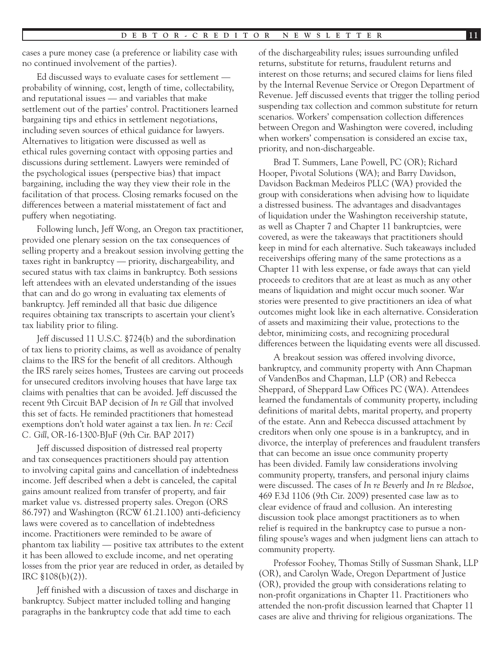cases a pure money case (a preference or liability case with no continued involvement of the parties).

Ed discussed ways to evaluate cases for settlement probability of winning, cost, length of time, collectability, and reputational issues — and variables that make settlement out of the parties' control. Practitioners learned bargaining tips and ethics in settlement negotiations, including seven sources of ethical guidance for lawyers. Alternatives to litigation were discussed as well as ethical rules governing contact with opposing parties and discussions during settlement. Lawyers were reminded of the psychological issues (perspective bias) that impact bargaining, including the way they view their role in the facilitation of that process. Closing remarks focused on the differences between a material misstatement of fact and puffery when negotiating.

Following lunch, Jeff Wong, an Oregon tax practitioner, provided one plenary session on the tax consequences of selling property and a breakout session involving getting the taxes right in bankruptcy — priority, dischargeability, and secured status with tax claims in bankruptcy. Both sessions left attendees with an elevated understanding of the issues that can and do go wrong in evaluating tax elements of bankruptcy. Jeff reminded all that basic due diligence requires obtaining tax transcripts to ascertain your client's tax liability prior to filing.

Jeff discussed 11 U.S.C. §724(b) and the subordination of tax liens to priority claims, as well as avoidance of penalty claims to the IRS for the benefit of all creditors. Although the IRS rarely seizes homes, Trustees are carving out proceeds for unsecured creditors involving houses that have large tax claims with penalties that can be avoided. Jeff discussed the recent 9th Circuit BAP decision of *In re Gill* that involved this set of facts. He reminded practitioners that homestead exemptions don't hold water against a tax lien. *In re: Cecil C. Gill*, OR-16-1300-BJuF (9th Cir. BAP 2017)

Jeff discussed disposition of distressed real property and tax consequences practitioners should pay attention to involving capital gains and cancellation of indebtedness income. Jeff described when a debt is canceled, the capital gains amount realized from transfer of property, and fair market value vs. distressed property sales. Oregon (ORS 86.797) and Washington (RCW 61.21.100) anti-deficiency laws were covered as to cancellation of indebtedness income. Practitioners were reminded to be aware of phantom tax liability — positive tax attributes to the extent it has been allowed to exclude income, and net operating losses from the prior year are reduced in order, as detailed by IRC §108(b)(2)).

Jeff finished with a discussion of taxes and discharge in bankruptcy. Subject matter included tolling and hanging paragraphs in the bankruptcy code that add time to each

of the dischargeability rules; issues surrounding unfiled returns, substitute for returns, fraudulent returns and interest on those returns; and secured claims for liens filed by the Internal Revenue Service or Oregon Department of Revenue. Jeff discussed events that trigger the tolling period suspending tax collection and common substitute for return scenarios. Workers' compensation collection differences between Oregon and Washington were covered, including when workers' compensation is considered an excise tax, priority, and non-dischargeable.

Brad T. Summers, Lane Powell, PC (OR); Richard Hooper, Pivotal Solutions (WA); and Barry Davidson, Davidson Backman Medeiros PLLC (WA) provided the group with considerations when advising how to liquidate a distressed business. The advantages and disadvantages of liquidation under the Washington receivership statute, as well as Chapter 7 and Chapter 11 bankruptcies, were covered, as were the takeaways that practitioners should keep in mind for each alternative. Such takeaways included receiverships offering many of the same protections as a Chapter 11 with less expense, or fade aways that can yield proceeds to creditors that are at least as much as any other means of liquidation and might occur much sooner. War stories were presented to give practitioners an idea of what outcomes might look like in each alternative. Consideration of assets and maximizing their value, protections to the debtor, minimizing costs, and recognizing procedural differences between the liquidating events were all discussed.

A breakout session was offered involving divorce, bankruptcy, and community property with Ann Chapman of VandenBos and Chapman, LLP (OR) and Rebecca Sheppard, of Sheppard Law Offices PC (WA). Attendees learned the fundamentals of community property, including definitions of marital debts, marital property, and property of the estate. Ann and Rebecca discussed attachment by creditors when only one spouse is in a bankruptcy, and in divorce, the interplay of preferences and fraudulent transfers that can become an issue once community property has been divided. Family law considerations involving community property, transfers, and personal injury claims were discussed. The cases of *In re Beverly* and *In re Bledsoe*, 469 F.3d 1106 (9th Cir. 2009) presented case law as to clear evidence of fraud and collusion. An interesting discussion took place amongst practitioners as to when relief is required in the bankruptcy case to pursue a nonfiling spouse's wages and when judgment liens can attach to community property.

Professor Foohey, Thomas Stilly of Sussman Shank, LLP (OR), and Carolyn Wade, Oregon Department of Justice (OR), provided the group with considerations relating to non-profit organizations in Chapter 11. Practitioners who attended the non-profit discussion learned that Chapter 11 cases are alive and thriving for religious organizations. The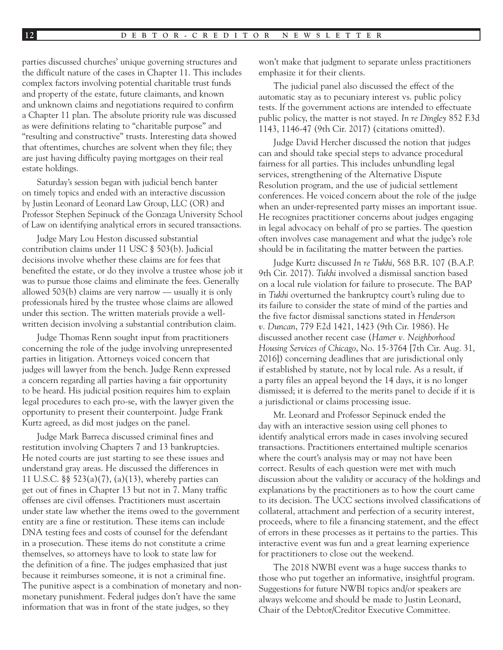parties discussed churches' unique governing structures and the difficult nature of the cases in Chapter 11. This includes complex factors involving potential charitable trust funds and property of the estate, future claimants, and known and unknown claims and negotiations required to confirm a Chapter 11 plan. The absolute priority rule was discussed as were definitions relating to "charitable purpose" and "resulting and constructive" trusts. Interesting data showed that oftentimes, churches are solvent when they file; they are just having difficulty paying mortgages on their real estate holdings.

Saturday's session began with judicial bench banter on timely topics and ended with an interactive discussion by Justin Leonard of Leonard Law Group, LLC (OR) and Professor Stephen Sepinuck of the Gonzaga University School of Law on identifying analytical errors in secured transactions.

Judge Mary Lou Heston discussed substantial contribution claims under 11 USC § 503(b). Judicial decisions involve whether these claims are for fees that benefited the estate, or do they involve a trustee whose job it was to pursue those claims and eliminate the fees. Generally allowed 503(b) claims are very narrow — usually it is only professionals hired by the trustee whose claims are allowed under this section. The written materials provide a wellwritten decision involving a substantial contribution claim.

Judge Thomas Renn sought input from practitioners concerning the role of the judge involving unrepresented parties in litigation. Attorneys voiced concern that judges will lawyer from the bench. Judge Renn expressed a concern regarding all parties having a fair opportunity to be heard. His judicial position requires him to explain legal procedures to each pro-se, with the lawyer given the opportunity to present their counterpoint. Judge Frank Kurtz agreed, as did most judges on the panel.

Judge Mark Barreca discussed criminal fines and restitution involving Chapters 7 and 13 bankruptcies. He noted courts are just starting to see these issues and understand gray areas. He discussed the differences in 11 U.S.C. §§ 523(a)(7), (a)(13), whereby parties can get out of fines in Chapter 13 but not in 7. Many traffic offenses are civil offenses. Practitioners must ascertain under state law whether the items owed to the government entity are a fine or restitution. These items can include DNA testing fees and costs of counsel for the defendant in a prosecution. These items do not constitute a crime themselves, so attorneys have to look to state law for the definition of a fine. The judges emphasized that just because it reimburses someone, it is not a criminal fine. The punitive aspect is a combination of monetary and nonmonetary punishment. Federal judges don't have the same information that was in front of the state judges, so they

won't make that judgment to separate unless practitioners emphasize it for their clients.

The judicial panel also discussed the effect of the automatic stay as to pecuniary interest vs. public policy tests. If the government actions are intended to effectuate public policy, the matter is not stayed. *In re Dingley* 852 F.3d 1143, 1146-47 (9th Cir. 2017) (citations omitted).

Judge David Hercher discussed the notion that judges can and should take special steps to advance procedural fairness for all parties. This includes unbundling legal services, strengthening of the Alternative Dispute Resolution program, and the use of judicial settlement conferences. He voiced concern about the role of the judge when an under-represented party misses an important issue. He recognizes practitioner concerns about judges engaging in legal advocacy on behalf of pro se parties. The question often involves case management and what the judge's role should be in facilitating the matter between the parties.

Judge Kurtz discussed *In re Tukhi*, 568 B.R. 107 (B.A.P. 9th Cir. 2017). *Tukhi* involved a dismissal sanction based on a local rule violation for failure to prosecute. The BAP in *Tukhi* overturned the bankruptcy court's ruling due to its failure to consider the state of mind of the parties and the five factor dismissal sanctions stated in *Henderson v. Duncan*, 779 F.2d 1421, 1423 (9th Cir. 1986). He discussed another recent case (*Hamer v. Neighborhood Housing Services of Chicago*, No. 15-3764 [7th Cir. Aug. 31, 2016]) concerning deadlines that are jurisdictional only if established by statute, not by local rule. As a result, if a party files an appeal beyond the 14 days, it is no longer dismissed; it is deferred to the merits panel to decide if it is a jurisdictional or claims processing issue.

Mr. Leonard and Professor Sepinuck ended the day with an interactive session using cell phones to identify analytical errors made in cases involving secured transactions. Practitioners entertained multiple scenarios where the court's analysis may or may not have been correct. Results of each question were met with much discussion about the validity or accuracy of the holdings and explanations by the practitioners as to how the court came to its decision. The UCC sections involved classifications of collateral, attachment and perfection of a security interest, proceeds, where to file a financing statement, and the effect of errors in these processes as it pertains to the parties. This interactive event was fun and a great learning experience for practitioners to close out the weekend.

The 2018 NWBI event was a huge success thanks to those who put together an informative, insightful program. Suggestions for future NWBI topics and/or speakers are always welcome and should be made to Justin Leonard, Chair of the Debtor/Creditor Executive Committee.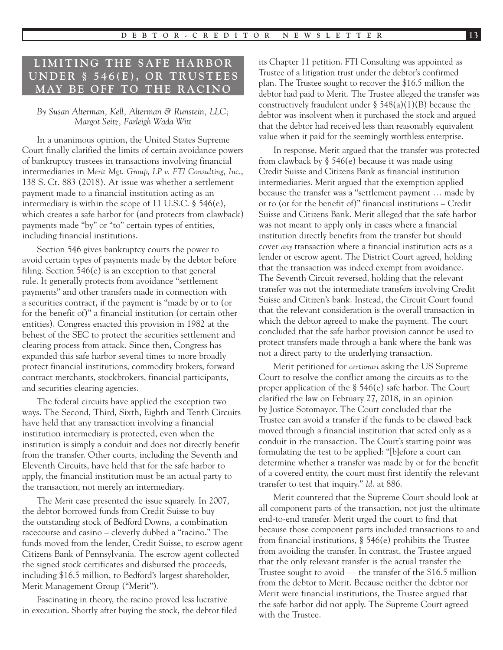# LIMITING THE SAFE HARBOR **U N D E R § 5 4 6 ( E ) , O R T R U S T E E S MAY BE OFF TO THE RACINO**

#### *By Susan Alterman, Kell, Alterman & Runstein, LLC; Margot Seitz, Farleigh Wada Witt*

In a unanimous opinion, the United States Supreme Court finally clarified the limits of certain avoidance powers of bankruptcy trustees in transactions involving financial intermediaries in *Merit Mgt. Group, LP v. FTI Consulting, Inc.*, 138 S. Ct. 883 (2018). At issue was whether a settlement payment made to a financial institution acting as an intermediary is within the scope of 11 U.S.C. § 546(e), which creates a safe harbor for (and protects from clawback) payments made "by" or "to" certain types of entities, including financial institutions.

Section 546 gives bankruptcy courts the power to avoid certain types of payments made by the debtor before filing. Section 546(e) is an exception to that general rule. It generally protects from avoidance "settlement payments" and other transfers made in connection with a securities contract, if the payment is "made by or to (or for the benefit of)" a financial institution (or certain other entities). Congress enacted this provision in 1982 at the behest of the SEC to protect the securities settlement and clearing process from attack. Since then, Congress has expanded this safe harbor several times to more broadly protect financial institutions, commodity brokers, forward contract merchants, stockbrokers, financial participants, and securities clearing agencies.

The federal circuits have applied the exception two ways. The Second, Third, Sixth, Eighth and Tenth Circuits have held that any transaction involving a financial institution intermediary is protected, even when the institution is simply a conduit and does not directly benefit from the transfer. Other courts, including the Seventh and Eleventh Circuits, have held that for the safe harbor to apply, the financial institution must be an actual party to the transaction, not merely an intermediary.

The *Merit* case presented the issue squarely. In 2007, the debtor borrowed funds from Credit Suisse to buy the outstanding stock of Bedford Downs, a combination racecourse and casino – cleverly dubbed a "racino." The funds moved from the lender, Credit Suisse, to escrow agent Citizens Bank of Pennsylvania. The escrow agent collected the signed stock certificates and disbursed the proceeds, including \$16.5 million, to Bedford's largest shareholder, Merit Management Group ("Merit").

Fascinating in theory, the racino proved less lucrative in execution. Shortly after buying the stock, the debtor filed its Chapter 11 petition. FTI Consulting was appointed as Trustee of a litigation trust under the debtor's confirmed plan. The Trustee sought to recover the \$16.5 million the debtor had paid to Merit. The Trustee alleged the transfer was constructively fraudulent under  $\S$  548(a)(1)(B) because the debtor was insolvent when it purchased the stock and argued that the debtor had received less than reasonably equivalent value when it paid for the seemingly worthless enterprise.

In response, Merit argued that the transfer was protected from clawback by § 546(e) because it was made using Credit Suisse and Citizens Bank as financial institution intermediaries. Merit argued that the exemption applied because the transfer was a "settlement payment … made by or to (or for the benefit of)" financial institutions – Credit Suisse and Citizens Bank. Merit alleged that the safe harbor was not meant to apply only in cases where a financial institution directly benefits from the transfer but should cover *any* transaction where a financial institution acts as a lender or escrow agent. The District Court agreed, holding that the transaction was indeed exempt from avoidance. The Seventh Circuit reversed, holding that the relevant transfer was not the intermediate transfers involving Credit Suisse and Citizen's bank. Instead, the Circuit Court found that the relevant consideration is the overall transaction in which the debtor agreed to make the payment. The court concluded that the safe harbor provision cannot be used to protect transfers made through a bank where the bank was not a direct party to the underlying transaction.

Merit petitioned for *certiorari* asking the US Supreme Court to resolve the conflict among the circuits as to the proper application of the § 546(e) safe harbor. The Court clarified the law on February 27, 2018, in an opinion by Justice Sotomayor. The Court concluded that the Trustee can avoid a transfer if the funds to be clawed back moved through a financial institution that acted only as a conduit in the transaction. The Court's starting point was formulating the test to be applied: "[b]efore a court can determine whether a transfer was made by or for the benefit of a covered entity, the court must first identify the relevant transfer to test that inquiry." *Id*. at 886.

Merit countered that the Supreme Court should look at all component parts of the transaction, not just the ultimate end-to-end transfer. Merit urged the court to find that because those component parts included transactions to and from financial institutions, § 546(e) prohibits the Trustee from avoiding the transfer. In contrast, the Trustee argued that the only relevant transfer is the actual transfer the Trustee sought to avoid — the transfer of the \$16.5 million from the debtor to Merit. Because neither the debtor nor Merit were financial institutions, the Trustee argued that the safe harbor did not apply. The Supreme Court agreed with the Trustee.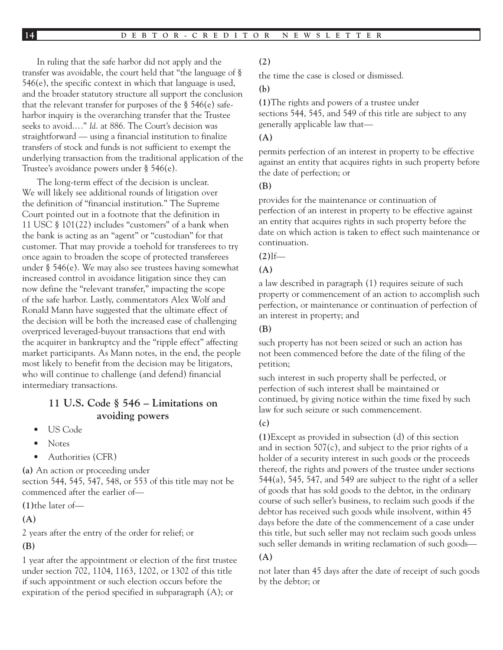In ruling that the safe harbor did not apply and the transfer was avoidable, the court held that "the language of § 546(e), the specific context in which that language is used, and the broader statutory structure all support the conclusion that the relevant transfer for purposes of the § 546(e) safeharbor inquiry is the overarching transfer that the Trustee seeks to avoid.…" *Id*. at 886. The Court's decision was straightforward — using a financial institution to finalize transfers of stock and funds is not sufficient to exempt the underlying transaction from the traditional application of the Trustee's avoidance powers under § 546(e).

The long-term effect of the decision is unclear. We will likely see additional rounds of litigation over the definition of "financial institution." The Supreme Court pointed out in a footnote that the definition in 11 USC § 101(22) includes "customers" of a bank when the bank is acting as an "agent" or "custodian" for that customer. That may provide a toehold for transferees to try once again to broaden the scope of protected transferees under § 546(e). We may also see trustees having somewhat increased control in avoidance litigation since they can now define the "relevant transfer," impacting the scope of the safe harbor. Lastly, commentators Alex Wolf and Ronald Mann have suggested that the ultimate effect of the decision will be both the increased ease of challenging overpriced leveraged-buyout transactions that end with the acquirer in bankruptcy and the "ripple effect" affecting market participants. As Mann notes, in the end, the people most likely to benefit from the decision may be litigators, who will continue to challenge (and defend) financial intermediary transactions.

## **11 U.S. Code § 546 – Limitations on avoiding powers**

- US Code
- Notes
- Authorities (CFR)

**(a)** An action or proceeding under section 544, 545, 547, 548, or 553 of this title may not be commenced after the earlier of—

**(1)**the later of—

**(A)**

2 years after the entry of the order for relief; or

#### **(B)**

1 year after the appointment or election of the first trustee under section 702, 1104, 1163, 1202, or 1302 of this title if such appointment or such election occurs before the expiration of the period specified in subparagraph (A); or

#### **(2)**

the time the case is closed or dismissed.

#### **(b)**

**(1)**The rights and powers of a trustee under sections 544, 545, and 549 of this title are subject to any generally applicable law that—

#### **(A)**

permits perfection of an interest in property to be effective against an entity that acquires rights in such property before the date of perfection; or

#### **(B)**

provides for the maintenance or continuation of perfection of an interest in property to be effective against an entity that acquires rights in such property before the date on which action is taken to effect such maintenance or continuation.

#### $(2)$ <sup>If—</sup>

#### **(A)**

a law described in paragraph (1) requires seizure of such property or commencement of an action to accomplish such perfection, or maintenance or continuation of perfection of an interest in property; and

#### **(B)**

such property has not been seized or such an action has not been commenced before the date of the filing of the petition;

such interest in such property shall be perfected, or perfection of such interest shall be maintained or continued, by giving notice within the time fixed by such law for such seizure or such commencement.

#### **(c)**

**(1)**Except as provided in subsection (d) of this section and in section 507(c), and subject to the prior rights of a holder of a security interest in such goods or the proceeds thereof, the rights and powers of the trustee under sections 544(a), 545, 547, and 549 are subject to the right of a seller of goods that has sold goods to the debtor, in the ordinary course of such seller's business, to reclaim such goods if the debtor has received such goods while insolvent, within 45 days before the date of the commencement of a case under this title, but such seller may not reclaim such goods unless such seller demands in writing reclamation of such goods—

#### **(A)**

not later than 45 days after the date of receipt of such goods by the debtor; or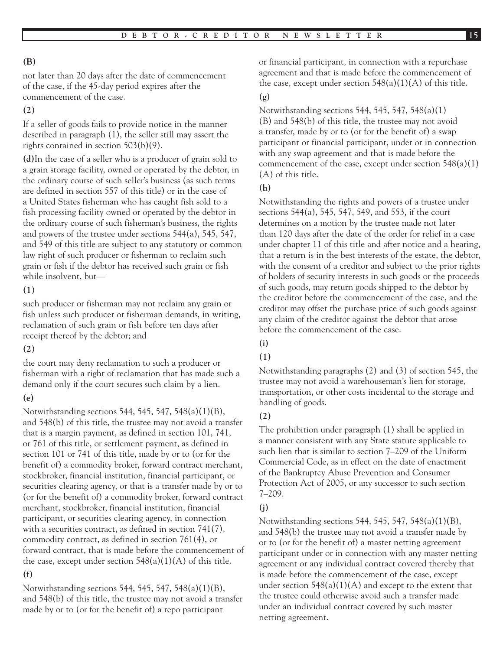## **(B)**

not later than 20 days after the date of commencement of the case, if the 45-day period expires after the commencement of the case.

## **(2)**

If a seller of goods fails to provide notice in the manner described in paragraph (1), the seller still may assert the rights contained in section 503(b)(9).

**(d)**In the case of a seller who is a producer of grain sold to a grain storage facility, owned or operated by the debtor, in the ordinary course of such seller's business (as such terms are defined in section 557 of this title) or in the case of a United States fisherman who has caught fish sold to a fish processing facility owned or operated by the debtor in the ordinary course of such fisherman's business, the rights and powers of the trustee under sections 544(a), 545, 547, and 549 of this title are subject to any statutory or common law right of such producer or fisherman to reclaim such grain or fish if the debtor has received such grain or fish while insolvent, but—

### **(1)**

such producer or fisherman may not reclaim any grain or fish unless such producer or fisherman demands, in writing, reclamation of such grain or fish before ten days after receipt thereof by the debtor; and

### **(2)**

the court may deny reclamation to such a producer or fisherman with a right of reclamation that has made such a demand only if the court secures such claim by a lien.

### **(e)**

Notwithstanding sections 544, 545, 547, 548(a)(1)(B), and 548(b) of this title, the trustee may not avoid a transfer that is a margin payment, as defined in section 101, 741, or 761 of this title, or settlement payment, as defined in section 101 or 741 of this title, made by or to (or for the benefit of) a commodity broker, forward contract merchant, stockbroker, financial institution, financial participant, or securities clearing agency, or that is a transfer made by or to (or for the benefit of) a commodity broker, forward contract merchant, stockbroker, financial institution, financial participant, or securities clearing agency, in connection with a securities contract, as defined in section 741(7), commodity contract, as defined in section 761(4), or forward contract, that is made before the commencement of the case, except under section  $548(a)(1)(A)$  of this title.

### **(f)**

Notwithstanding sections 544, 545, 547, 548(a)(1)(B), and 548(b) of this title, the trustee may not avoid a transfer made by or to (or for the benefit of) a repo participant

or financial participant, in connection with a repurchase agreement and that is made before the commencement of the case, except under section  $548(a)(1)(A)$  of this title.

#### **(g)**

Notwithstanding sections 544, 545, 547, 548(a)(1) (B) and 548(b) of this title, the trustee may not avoid a transfer, made by or to (or for the benefit of) a swap participant or financial participant, under or in connection with any swap agreement and that is made before the commencement of the case, except under section  $548(a)(1)$ (A) of this title.

### **(h)**

Notwithstanding the rights and powers of a trustee under sections 544(a), 545, 547, 549, and 553, if the court determines on a motion by the trustee made not later than 120 days after the date of the order for relief in a case under chapter 11 of this title and after notice and a hearing, that a return is in the best interests of the estate, the debtor, with the consent of a creditor and subject to the prior rights of holders of security interests in such goods or the proceeds of such goods, may return goods shipped to the debtor by the creditor before the commencement of the case, and the creditor may offset the purchase price of such goods against any claim of the creditor against the debtor that arose before the commencement of the case.

## **(i)**

### **(1)**

Notwithstanding paragraphs (2) and (3) of section 545, the trustee may not avoid a warehouseman's lien for storage, transportation, or other costs incidental to the storage and handling of goods.

## **(2)**

The prohibition under paragraph (1) shall be applied in a manner consistent with any State statute applicable to such lien that is similar to section 7–209 of the Uniform Commercial Code, as in effect on the date of enactment of the Bankruptcy Abuse Prevention and Consumer Protection Act of 2005, or any successor to such section 7–209.

## **(j)**

Notwithstanding sections 544, 545, 547, 548(a)(1)(B), and 548(b) the trustee may not avoid a transfer made by or to (or for the benefit of) a master netting agreement participant under or in connection with any master netting agreement or any individual contract covered thereby that is made before the commencement of the case, except under section 548(a)(1)(A) and except to the extent that the trustee could otherwise avoid such a transfer made under an individual contract covered by such master netting agreement.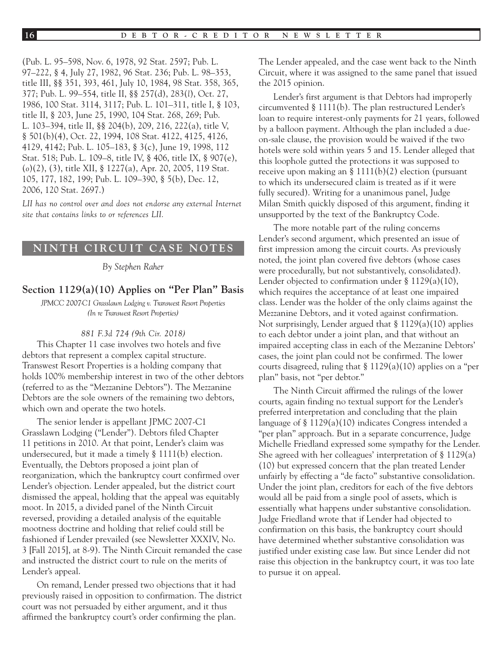(Pub. L. 95–598, Nov. 6, 1978, 92 Stat. 2597; Pub. L. 97–222, § 4, July 27, 1982, 96 Stat. 236; Pub. L. 98–353, title III, §§ 351, 393, 461, July 10, 1984, 98 Stat. 358, 365, 377; Pub. L. 99–554, title II, §§ 257(d), 283(*l*), Oct. 27, 1986, 100 Stat. 3114, 3117; Pub. L. 101–311, title I, § 103, title II, § 203, June 25, 1990, 104 Stat. 268, 269; Pub. L. 103–394, title II, §§ 204(b), 209, 216, 222(a), title V, § 501(b)(4), Oct. 22, 1994, 108 Stat. 4122, 4125, 4126, 4129, 4142; Pub. L. 105–183, § 3(c), June 19, 1998, 112 Stat. 518; Pub. L. 109–8, title IV, § 406, title IX, § 907(e), (*o*)(2), (3), title XII, § 1227(a), Apr. 20, 2005, 119 Stat. 105, 177, 182, 199; Pub. L. 109–390, § 5(b), Dec. 12, 2006, 120 Stat. 2697.)

LII has no control over and does not endorse any external Internet *site that contains links to or references LII.*

#### **NINTH CIRCUIT CASE NOTES**

*By Stephen Raher*

### **Section 1129(a)(10) Applies on "Per Plan" Basis**

*JPMCC 2007-C1 Grasslawn Lodging v. Transwest Resort Properties (In re Transwest Resort Properties)*

#### *881 F.3d 724 (9th Cir. 2018)*

This Chapter 11 case involves two hotels and five debtors that represent a complex capital structure. Transwest Resort Properties is a holding company that holds 100% membership interest in two of the other debtors (referred to as the "Mezzanine Debtors"). The Mezzanine Debtors are the sole owners of the remaining two debtors, which own and operate the two hotels.

The senior lender is appellant JPMC 2007-C1 Grasslawn Lodging ("Lender"). Debtors filed Chapter 11 petitions in 2010. At that point, Lender's claim was undersecured, but it made a timely § 1111(b) election. Eventually, the Debtors proposed a joint plan of reorganization, which the bankruptcy court confirmed over Lender's objection. Lender appealed, but the district court dismissed the appeal, holding that the appeal was equitably moot. In 2015, a divided panel of the Ninth Circuit reversed, providing a detailed analysis of the equitable mootness doctrine and holding that relief could still be fashioned if Lender prevailed (see Newsletter XXXIV, No. 3 [Fall 2015], at 8-9). The Ninth Circuit remanded the case and instructed the district court to rule on the merits of Lender's appeal.

On remand, Lender pressed two objections that it had previously raised in opposition to confirmation. The district court was not persuaded by either argument, and it thus affirmed the bankruptcy court's order confirming the plan.

The Lender appealed, and the case went back to the Ninth Circuit, where it was assigned to the same panel that issued the 2015 opinion.

Lender's first argument is that Debtors had improperly circumvented § 1111(b). The plan restructured Lender's loan to require interest-only payments for 21 years, followed by a balloon payment. Although the plan included a dueon-sale clause, the provision would be waived if the two hotels were sold within years 5 and 15. Lender alleged that this loophole gutted the protections it was supposed to receive upon making an § 1111(b)(2) election (pursuant to which its undersecured claim is treated as if it were fully secured). Writing for a unanimous panel, Judge Milan Smith quickly disposed of this argument, finding it unsupported by the text of the Bankruptcy Code.

The more notable part of the ruling concerns Lender's second argument, which presented an issue of first impression among the circuit courts. As previously noted, the joint plan covered five debtors (whose cases were procedurally, but not substantively, consolidated). Lender objected to confirmation under § 1129(a)(10), which requires the acceptance of at least one impaired class. Lender was the holder of the only claims against the Mezzanine Debtors, and it voted against confirmation. Not surprisingly, Lender argued that § 1129(a)(10) applies to each debtor under a joint plan, and that without an impaired accepting class in each of the Mezzanine Debtors' cases, the joint plan could not be confirmed. The lower courts disagreed, ruling that  $\S 1129(a)(10)$  applies on a "per plan" basis, not "per debtor."

The Ninth Circuit affirmed the rulings of the lower courts, again finding no textual support for the Lender's preferred interpretation and concluding that the plain language of § 1129(a)(10) indicates Congress intended a "per plan" approach. But in a separate concurrence, Judge Michelle Friedland expressed some sympathy for the Lender. She agreed with her colleagues' interpretation of § 1129(a) (10) but expressed concern that the plan treated Lender unfairly by effecting a "de facto" substantive consolidation. Under the joint plan, creditors for each of the five debtors would all be paid from a single pool of assets, which is essentially what happens under substantive consolidation. Judge Friedland wrote that if Lender had objected to confirmation on this basis, the bankruptcy court should have determined whether substantive consolidation was justified under existing case law. But since Lender did not raise this objection in the bankruptcy court, it was too late to pursue it on appeal.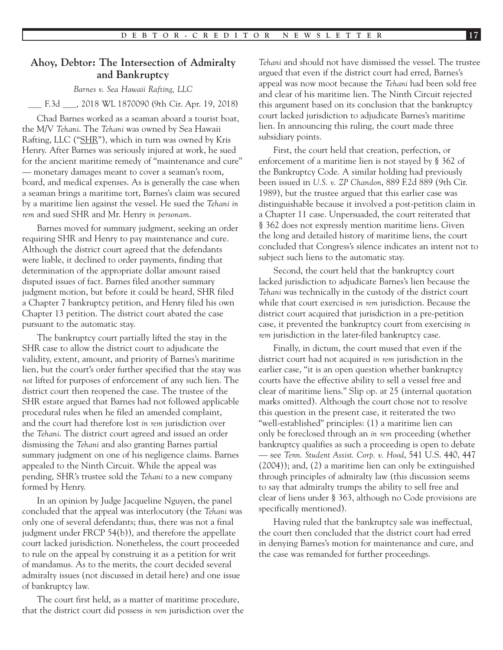## **Ahoy, Debtor: The Intersection of Admiralty and Bankruptcy**

#### *Barnes v. Sea Hawaii Rafting, LLC*

#### \_\_\_ F.3d \_\_\_, 2018 WL 1870090 (9th Cir. Apr. 19, 2018)

Chad Barnes worked as a seaman aboard a tourist boat, the M/V *Tehani*. The *Tehani* was owned by Sea Hawaii Rafting, LLC ("SHR"), which in turn was owned by Kris Henry. After Barnes was seriously injured at work, he sued for the ancient maritime remedy of "maintenance and cure" — monetary damages meant to cover a seaman's room, board, and medical expenses. As is generally the case when a seaman brings a maritime tort, Barnes's claim was secured by a maritime lien against the vessel. He sued the *Tehani in rem* and sued SHR and Mr. Henry *in personam*.

Barnes moved for summary judgment, seeking an order requiring SHR and Henry to pay maintenance and cure. Although the district court agreed that the defendants were liable, it declined to order payments, finding that determination of the appropriate dollar amount raised disputed issues of fact. Barnes filed another summary judgment motion, but before it could be heard, SHR filed a Chapter 7 bankruptcy petition, and Henry filed his own Chapter 13 petition. The district court abated the case pursuant to the automatic stay.

The bankruptcy court partially lifted the stay in the SHR case to allow the district court to adjudicate the validity, extent, amount, and priority of Barnes's maritime lien, but the court's order further specified that the stay was *not* lifted for purposes of enforcement of any such lien. The district court then reopened the case. The trustee of the SHR estate argued that Barnes had not followed applicable procedural rules when he filed an amended complaint, and the court had therefore lost *in rem* jurisdiction over the *Tehani*. The district court agreed and issued an order dismissing the *Tehani* and also granting Barnes partial summary judgment on one of his negligence claims. Barnes appealed to the Ninth Circuit. While the appeal was pending, SHR's trustee sold the *Tehani* to a new company formed by Henry.

In an opinion by Judge Jacqueline Nguyen, the panel concluded that the appeal was interlocutory (the *Tehani* was only one of several defendants; thus, there was not a final judgment under FRCP 54(b)), and therefore the appellate court lacked jurisdiction. Nonetheless, the court proceeded to rule on the appeal by construing it as a petition for writ of mandamus. As to the merits, the court decided several admiralty issues (not discussed in detail here) and one issue of bankruptcy law.

The court first held, as a matter of maritime procedure, that the district court did possess *in rem* jurisdiction over the

*Tehani* and should not have dismissed the vessel. The trustee argued that even if the district court had erred, Barnes's appeal was now moot because the *Tehani* had been sold free and clear of his maritime lien. The Ninth Circuit rejected this argument based on its conclusion that the bankruptcy court lacked jurisdiction to adjudicate Barnes's maritime lien. In announcing this ruling, the court made three subsidiary points.

First, the court held that creation, perfection, or enforcement of a maritime lien is not stayed by § 362 of the Bankruptcy Code. A similar holding had previously been issued in *U.S. v. ZP Chandon*, 889 F.2d 889 (9th Cir. 1989), but the trustee argued that this earlier case was distinguishable because it involved a post-petition claim in a Chapter 11 case. Unpersuaded, the court reiterated that § 362 does not expressly mention maritime liens. Given the long and detailed history of maritime liens, the court concluded that Congress's silence indicates an intent not to subject such liens to the automatic stay.

Second, the court held that the bankruptcy court lacked jurisdiction to adjudicate Barnes's lien because the *Tehani* was technically in the custody of the district court while that court exercised *in rem* jurisdiction. Because the district court acquired that jurisdiction in a pre-petition case, it prevented the bankruptcy court from exercising *in rem* jurisdiction in the later-filed bankruptcy case.

Finally, in dictum, the court mused that even if the district court had not acquired *in rem* jurisdiction in the earlier case, "it is an open question whether bankruptcy courts have the effective ability to sell a vessel free and clear of maritime liens." Slip op. at 25 (internal quotation marks omitted). Although the court chose not to resolve this question in the present case, it reiterated the two "well-established" principles: (1) a maritime lien can only be foreclosed through an *in rem* proceeding (whether bankruptcy qualifies as such a proceeding is open to debate — see *Tenn. Student Assist. Corp. v. Hood*, 541 U.S. 440, 447 (2004)); and, (2) a maritime lien can only be extinguished through principles of admiralty law (this discussion seems to say that admiralty trumps the ability to sell free and clear of liens under § 363, although no Code provisions are specifically mentioned).

Having ruled that the bankruptcy sale was ineffectual, the court then concluded that the district court had erred in denying Barnes's motion for maintenance and cure, and the case was remanded for further proceedings.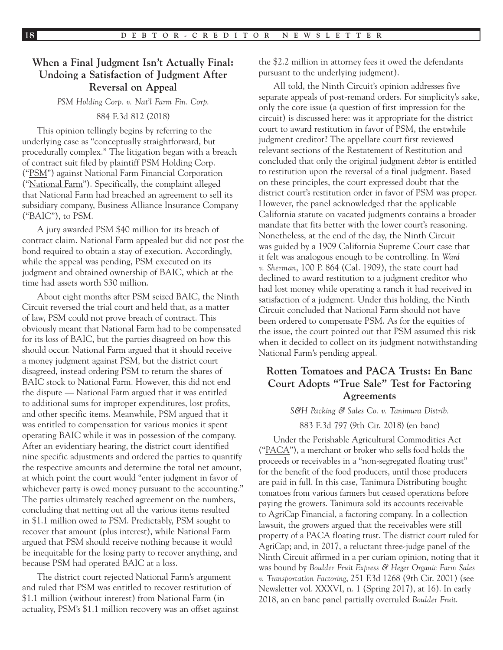## **When a Final Judgment Isn't Actually Final: Undoing a Satisfaction of Judgment After Reversal on Appeal**

*PSM Holding Corp. v. Nat'l Farm Fin. Corp.*

#### 884 F.3d 812 (2018)

This opinion tellingly begins by referring to the underlying case as "conceptually straightforward, but procedurally complex." The litigation began with a breach of contract suit filed by plaintiff PSM Holding Corp. ("PSM") against National Farm Financial Corporation ("National Farm"). Specifically, the complaint alleged that National Farm had breached an agreement to sell its subsidiary company, Business Alliance Insurance Company ("BAIC"), to PSM.

A jury awarded PSM \$40 million for its breach of contract claim. National Farm appealed but did not post the bond required to obtain a stay of execution. Accordingly, while the appeal was pending, PSM executed on its judgment and obtained ownership of BAIC, which at the time had assets worth \$30 million.

About eight months after PSM seized BAIC, the Ninth Circuit reversed the trial court and held that, as a matter of law, PSM could not prove breach of contract. This obviously meant that National Farm had to be compensated for its loss of BAIC, but the parties disagreed on how this should occur. National Farm argued that it should receive a money judgment against PSM, but the district court disagreed, instead ordering PSM to return the shares of BAIC stock to National Farm. However, this did not end the dispute — National Farm argued that it was entitled to additional sums for improper expenditures, lost profits, and other specific items. Meanwhile, PSM argued that it was entitled to compensation for various monies it spent operating BAIC while it was in possession of the company. After an evidentiary hearing, the district court identified nine specific adjustments and ordered the parties to quantify the respective amounts and determine the total net amount, at which point the court would "enter judgment in favor of whichever party is owed money pursuant to the accounting." The parties ultimately reached agreement on the numbers, concluding that netting out all the various items resulted in \$1.1 million owed *to* PSM. Predictably, PSM sought to recover that amount (plus interest), while National Farm argued that PSM should receive nothing because it would be inequitable for the losing party to recover anything, and because PSM had operated BAIC at a loss.

The district court rejected National Farm's argument and ruled that PSM was entitled to recover restitution of \$1.1 million (without interest) from National Farm (in actuality, PSM's \$1.1 million recovery was an offset against the \$2.2 million in attorney fees it owed the defendants pursuant to the underlying judgment).

All told, the Ninth Circuit's opinion addresses five separate appeals of post-remand orders. For simplicity's sake, only the core issue (a question of first impression for the circuit) is discussed here: was it appropriate for the district court to award restitution in favor of PSM, the erstwhile judgment creditor? The appellate court first reviewed relevant sections of the Restatement of Restitution and concluded that only the original judgment *debtor* is entitled to restitution upon the reversal of a final judgment. Based on these principles, the court expressed doubt that the district court's restitution order in favor of PSM was proper. However, the panel acknowledged that the applicable California statute on vacated judgments contains a broader mandate that fits better with the lower court's reasoning. Nonetheless, at the end of the day, the Ninth Circuit was guided by a 1909 California Supreme Court case that it felt was analogous enough to be controlling. In *Ward v. Sherman*, 100 P. 864 (Cal. 1909), the state court had declined to award restitution to a judgment creditor who had lost money while operating a ranch it had received in satisfaction of a judgment. Under this holding, the Ninth Circuit concluded that National Farm should not have been ordered to compensate PSM. As for the equities of the issue, the court pointed out that PSM assumed this risk when it decided to collect on its judgment notwithstanding National Farm's pending appeal.

## **Rotten Tomatoes and PACA Trusts: En Banc Court Adopts "True Sale" Test for Factoring Agreements**

#### *S&H Packing & Sales Co. v. Tanimura Distrib.*

883 F.3d 797 (9th Cir. 2018) (en banc)

Under the Perishable Agricultural Commodities Act (" $\text{PACA}$ "), a merchant or broker who sells food holds the proceeds or receivables in a "non-segregated floating trust" for the benefit of the food producers, until those producers are paid in full. In this case, Tanimura Distributing bought tomatoes from various farmers but ceased operations before paying the growers. Tanimura sold its accounts receivable to AgriCap Financial, a factoring company. In a collection lawsuit, the growers argued that the receivables were still property of a PACA floating trust. The district court ruled for AgriCap; and, in 2017, a reluctant three-judge panel of the Ninth Circuit affirmed in a per curiam opinion, noting that it was bound by *Boulder Fruit Express & Heger Organic Farm Sales v. Transportation Factoring*, 251 F.3d 1268 (9th Cir. 2001) (see Newsletter vol. XXXVI, n. 1 (Spring 2017), at 16). In early 2018, an en banc panel partially overruled *Boulder Fruit*.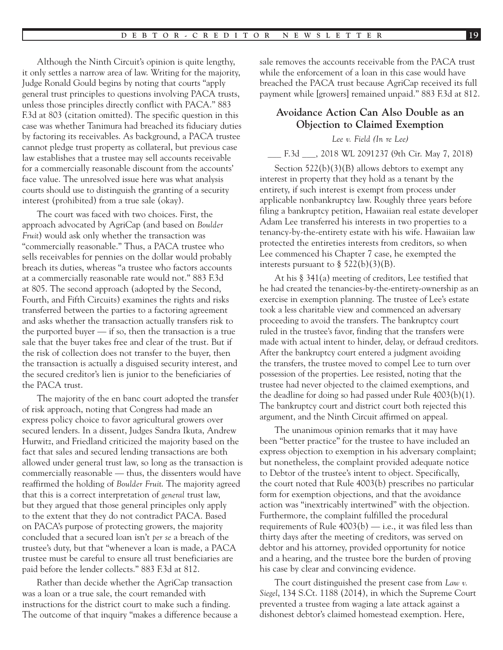Although the Ninth Circuit's opinion is quite lengthy, it only settles a narrow area of law. Writing for the majority, Judge Ronald Gould begins by noting that courts "apply general trust principles to questions involving PACA trusts, unless those principles directly conflict with PACA." 883 F.3d at 803 (citation omitted). The specific question in this case was whether Tanimura had breached its fiduciary duties by factoring its receivables. As background, a PACA trustee cannot pledge trust property as collateral, but previous case law establishes that a trustee may sell accounts receivable for a commercially reasonable discount from the accounts' face value. The unresolved issue here was what analysis courts should use to distinguish the granting of a security interest (prohibited) from a true sale (okay).

The court was faced with two choices. First, the approach advocated by AgriCap (and based on *Boulder Fruit*) would ask only whether the transaction was "commercially reasonable." Thus, a PACA trustee who sells receivables for pennies on the dollar would probably breach its duties, whereas "a trustee who factors accounts at a commercially reasonable rate would not." 883 F.3d at 805. The second approach (adopted by the Second, Fourth, and Fifth Circuits) examines the rights and risks transferred between the parties to a factoring agreement and asks whether the transaction actually transfers risk to the purported buyer — if so, then the transaction is a true sale that the buyer takes free and clear of the trust. But if the risk of collection does not transfer to the buyer, then the transaction is actually a disguised security interest, and the secured creditor's lien is junior to the beneficiaries of the PACA trust.

The majority of the en banc court adopted the transfer of risk approach, noting that Congress had made an express policy choice to favor agricultural growers over secured lenders. In a dissent, Judges Sandra Ikuta, Andrew Hurwitz, and Friedland criticized the majority based on the fact that sales and secured lending transactions are both allowed under general trust law, so long as the transaction is commercially reasonable — thus, the dissenters would have reaffirmed the holding of *Boulder Fruit*. The majority agreed that this is a correct interpretation of *general* trust law, but they argued that those general principles only apply to the extent that they do not contradict PACA. Based on PACA's purpose of protecting growers, the majority concluded that a secured loan isn't *per se* a breach of the trustee's duty, but that "whenever a loan is made, a PACA trustee must be careful to ensure all trust beneficiaries are paid before the lender collects." 883 F.3d at 812.

Rather than decide whether the AgriCap transaction was a loan or a true sale, the court remanded with instructions for the district court to make such a finding. The outcome of that inquiry "makes a difference because a sale removes the accounts receivable from the PACA trust while the enforcement of a loan in this case would have breached the PACA trust because AgriCap received its full payment while [growers] remained unpaid." 883 F.3d at 812.

## **Avoidance Action Can Also Double as an Objection to Claimed Exemption**

#### *Lee v. Field (In re Lee)*

\_\_\_ F.3d \_\_\_, 2018 WL 2091237 (9th Cir. May 7, 2018)

Section 522(b)(3)(B) allows debtors to exempt any interest in property that they hold as a tenant by the entirety, if such interest is exempt from process under applicable nonbankruptcy law. Roughly three years before filing a bankruptcy petition, Hawaiian real estate developer Adam Lee transferred his interests in two properties to a tenancy-by-the-entirety estate with his wife. Hawaiian law protected the entireties interests from creditors, so when Lee commenced his Chapter 7 case, he exempted the interests pursuant to  $\S$  522(b)(3)(B).

At his § 341(a) meeting of creditors, Lee testified that he had created the tenancies-by-the-entirety-ownership as an exercise in exemption planning. The trustee of Lee's estate took a less charitable view and commenced an adversary proceeding to avoid the transfers. The bankruptcy court ruled in the trustee's favor, finding that the transfers were made with actual intent to hinder, delay, or defraud creditors. After the bankruptcy court entered a judgment avoiding the transfers, the trustee moved to compel Lee to turn over possession of the properties. Lee resisted, noting that the trustee had never objected to the claimed exemptions, and the deadline for doing so had passed under Rule 4003(b)(1). The bankruptcy court and district court both rejected this argument, and the Ninth Circuit affirmed on appeal.

The unanimous opinion remarks that it may have been "better practice" for the trustee to have included an express objection to exemption in his adversary complaint; but nonetheless, the complaint provided adequate notice to Debtor of the trustee's intent to object. Specifically, the court noted that Rule 4003(b) prescribes no particular form for exemption objections, and that the avoidance action was "inextricably intertwined" with the objection. Furthermore, the complaint fulfilled the procedural requirements of Rule  $4003(b)$  — i.e., it was filed less than thirty days after the meeting of creditors, was served on debtor and his attorney, provided opportunity for notice and a hearing, and the trustee bore the burden of proving his case by clear and convincing evidence.

The court distinguished the present case from *Law v. Siegel*, 134 S.Ct. 1188 (2014), in which the Supreme Court prevented a trustee from waging a late attack against a dishonest debtor's claimed homestead exemption. Here,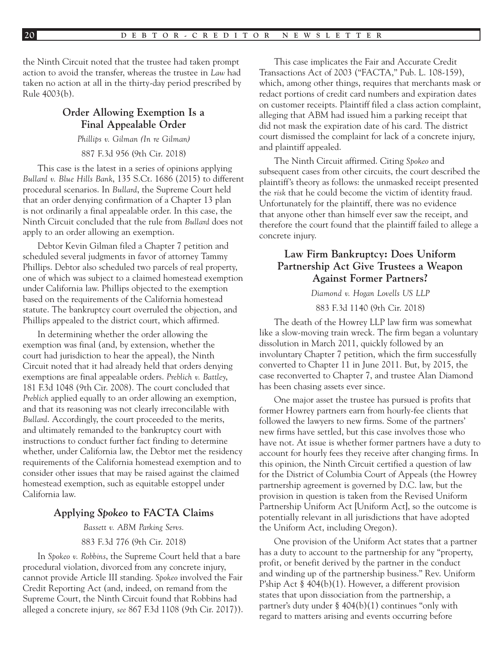the Ninth Circuit noted that the trustee had taken prompt action to avoid the transfer, whereas the trustee in *Law* had taken no action at all in the thirty-day period prescribed by Rule 4003(b).

## **Order Allowing Exemption Is a Final Appealable Order**

*Phillips v. Gilman (In re Gilman)*

887 F.3d 956 (9th Cir. 2018)

This case is the latest in a series of opinions applying *Bullard v. Blue Hills Bank*, 135 S.Ct. 1686 (2015) to different procedural scenarios. In *Bullard*, the Supreme Court held that an order denying confirmation of a Chapter 13 plan is not ordinarily a final appealable order. In this case, the Ninth Circuit concluded that the rule from *Bullard* does not apply to an order allowing an exemption.

Debtor Kevin Gilman filed a Chapter 7 petition and scheduled several judgments in favor of attorney Tammy Phillips. Debtor also scheduled two parcels of real property, one of which was subject to a claimed homestead exemption under California law. Phillips objected to the exemption based on the requirements of the California homestead statute. The bankruptcy court overruled the objection, and Phillips appealed to the district court, which affirmed.

In determining whether the order allowing the exemption was final (and, by extension, whether the court had jurisdiction to hear the appeal), the Ninth Circuit noted that it had already held that orders denying exemptions are final appealable orders. *Preblich v. Battley*, 181 F.3d 1048 (9th Cir. 2008). The court concluded that *Preblich applied equally to an order allowing an exemption,* and that its reasoning was not clearly irreconcilable with *Bullard*. Accordingly, the court proceeded to the merits, and ultimately remanded to the bankruptcy court with instructions to conduct further fact finding to determine whether, under California law, the Debtor met the residency requirements of the California homestead exemption and to consider other issues that may be raised against the claimed homestead exemption, such as equitable estoppel under California law.

#### **Applying** *Spokeo* **to FACTA Claims**

*Bassett v. ABM Parking Servs.*

#### 883 F.3d 776 (9th Cir. 2018)

In *Spokeo v. Robbins*, the Supreme Court held that a bare procedural violation, divorced from any concrete injury, cannot provide Article III standing. *Spokeo* involved the Fair Credit Reporting Act (and, indeed, on remand from the Supreme Court, the Ninth Circuit found that Robbins had alleged a concrete injury*, see* 867 F.3d 1108 (9th Cir. 2017)).

This case implicates the Fair and Accurate Credit Transactions Act of 2003 ("FACTA," Pub. L. 108-159), which, among other things, requires that merchants mask or redact portions of credit card numbers and expiration dates on customer receipts. Plaintiff filed a class action complaint, alleging that ABM had issued him a parking receipt that did not mask the expiration date of his card. The district court dismissed the complaint for lack of a concrete injury, and plaintiff appealed.

The Ninth Circuit affirmed. Citing *Spokeo* and subsequent cases from other circuits, the court described the plaintiff's theory as follows: the unmasked receipt presented the *risk* that he could become the victim of identity fraud. Unfortunately for the plaintiff, there was no evidence that anyone other than himself ever saw the receipt, and therefore the court found that the plaintiff failed to allege a concrete injury.

## **Law Firm Bankruptcy: Does Uniform Partnership Act Give Trustees a Weapon Against Former Partners?**

*Diamond v. Hogan Lovells US LLP*

883 F.3d 1140 (9th Cir. 2018)

The death of the Howrey LLP law firm was somewhat like a slow-moving train wreck. The firm began a voluntary dissolution in March 2011, quickly followed by an involuntary Chapter 7 petition, which the firm successfully converted to Chapter 11 in June 2011. But, by 2015, the case reconverted to Chapter 7, and trustee Alan Diamond has been chasing assets ever since.

One major asset the trustee has pursued is profits that former Howrey partners earn from hourly-fee clients that followed the lawyers to new firms. Some of the partners' new firms have settled, but this case involves those who have not. At issue is whether former partners have a duty to account for hourly fees they receive after changing firms. In this opinion, the Ninth Circuit certified a question of law for the District of Columbia Court of Appeals (the Howrey partnership agreement is governed by D.C. law, but the provision in question is taken from the Revised Uniform Partnership Uniform Act [Uniform Act], so the outcome is potentially relevant in all jurisdictions that have adopted the Uniform Act, including Oregon).

One provision of the Uniform Act states that a partner has a duty to account to the partnership for any "property, profit, or benefit derived by the partner in the conduct and winding up of the partnership business." Rev. Uniform P'ship Act § 404(b)(1). However, a different provision states that upon dissociation from the partnership, a partner's duty under § 404(b)(1) continues "only with regard to matters arising and events occurring before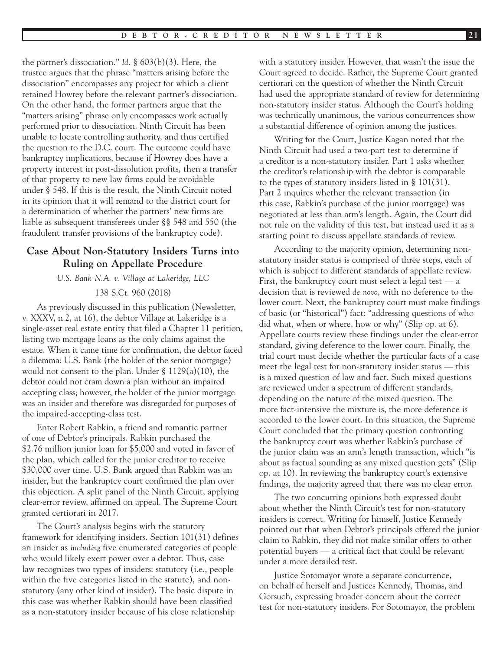the partner's dissociation." *Id.* § 603(b)(3). Here, the trustee argues that the phrase "matters arising before the dissociation" encompasses any project for which a client retained Howrey before the relevant partner's dissociation. On the other hand, the former partners argue that the "matters arising" phrase only encompasses work actually performed prior to dissociation. Ninth Circuit has been unable to locate controlling authority, and thus certified the question to the D.C. court. The outcome could have bankruptcy implications, because if Howrey does have a property interest in post-dissolution profits, then a transfer of that property to new law firms could be avoidable under § 548. If this is the result, the Ninth Circuit noted in its opinion that it will remand to the district court for a determination of whether the partners' new firms are liable as subsequent transferees under §§ 548 and 550 (the fraudulent transfer provisions of the bankruptcy code).

## **Case About Non-Statutory Insiders Turns into Ruling on Appellate Procedure**

*U.S. Bank N.A. v. Village at Lakeridge, LLC* 138 S.Ct. 960 (2018)

As previously discussed in this publication (Newsletter, v. XXXV, n.2, at 16), the debtor Village at Lakeridge is a single-asset real estate entity that filed a Chapter 11 petition, listing two mortgage loans as the only claims against the estate. When it came time for confirmation, the debtor faced a dilemma: U.S. Bank (the holder of the senior mortgage) would not consent to the plan. Under § 1129(a)(10), the debtor could not cram down a plan without an impaired accepting class; however, the holder of the junior mortgage was an insider and therefore was disregarded for purposes of the impaired-accepting-class test.

Enter Robert Rabkin, a friend and romantic partner of one of Debtor's principals. Rabkin purchased the \$2.76 million junior loan for \$5,000 and voted in favor of the plan, which called for the junior creditor to receive \$30,000 over time. U.S. Bank argued that Rabkin was an insider, but the bankruptcy court confirmed the plan over this objection. A split panel of the Ninth Circuit, applying clear-error review, affirmed on appeal. The Supreme Court granted certiorari in 2017.

The Court's analysis begins with the statutory framework for identifying insiders. Section 101(31) defines an insider as *including* five enumerated categories of people who would likely exert power over a debtor. Thus, case law recognizes two types of insiders: statutory (i.e., people within the five categories listed in the statute), and nonstatutory (any other kind of insider). The basic dispute in this case was whether Rabkin should have been classified as a non-statutory insider because of his close relationship

with a statutory insider. However, that wasn't the issue the Court agreed to decide. Rather, the Supreme Court granted certiorari on the question of whether the Ninth Circuit had used the appropriate standard of review for determining non-statutory insider status. Although the Court's holding was technically unanimous, the various concurrences show a substantial difference of opinion among the justices.

Writing for the Court, Justice Kagan noted that the Ninth Circuit had used a two-part test to determine if a creditor is a non-statutory insider. Part 1 asks whether the creditor's relationship with the debtor is comparable to the types of statutory insiders listed in § 101(31). Part 2 inquires whether the relevant transaction (in this case, Rabkin's purchase of the junior mortgage) was negotiated at less than arm's length. Again, the Court did not rule on the validity of this test, but instead used it as a starting point to discuss appellate standards of review.

According to the majority opinion, determining nonstatutory insider status is comprised of three steps, each of which is subject to different standards of appellate review. First, the bankruptcy court must select a legal test — a decision that is reviewed *de novo*, with no deference to the lower court. Next, the bankruptcy court must make findings of basic (or "historical") fact: "addressing questions of who did what, when or where, how or why" (Slip op. at 6). Appellate courts review these findings under the clear-error standard, giving deference to the lower court. Finally, the trial court must decide whether the particular facts of a case meet the legal test for non-statutory insider status — this is a mixed question of law and fact. Such mixed questions are reviewed under a spectrum of different standards, depending on the nature of the mixed question. The more fact-intensive the mixture is, the more deference is accorded to the lower court. In this situation, the Supreme Court concluded that the primary question confronting the bankruptcy court was whether Rabkin's purchase of the junior claim was an arm's length transaction, which "is about as factual sounding as any mixed question gets" (Slip op. at 10). In reviewing the bankruptcy court's extensive findings, the majority agreed that there was no clear error.

The two concurring opinions both expressed doubt about whether the Ninth Circuit's test for non-statutory insiders is correct. Writing for himself, Justice Kennedy pointed out that when Debtor's principals offered the junior claim to Rabkin, they did not make similar offers to other potential buyers — a critical fact that could be relevant under a more detailed test.

Justice Sotomayor wrote a separate concurrence, on behalf of herself and Justices Kennedy, Thomas, and Gorsuch, expressing broader concern about the correct test for non-statutory insiders. For Sotomayor, the problem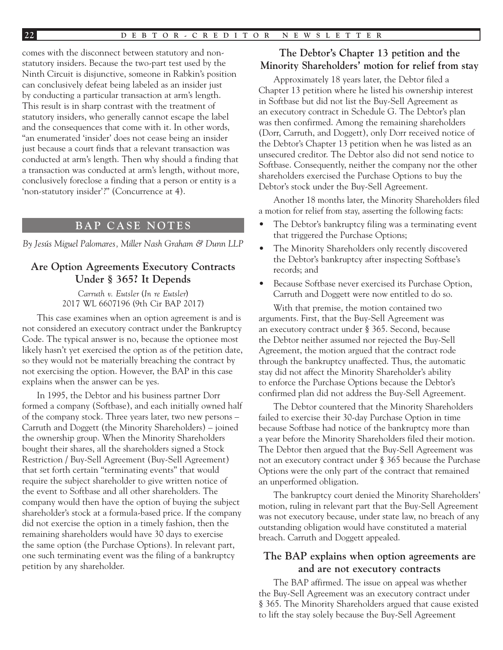comes with the disconnect between statutory and nonstatutory insiders. Because the two-part test used by the Ninth Circuit is disjunctive, someone in Rabkin's position can conclusively defeat being labeled as an insider just by conducting a particular transaction at arm's length. This result is in sharp contrast with the treatment of statutory insiders, who generally cannot escape the label and the consequences that come with it. In other words, "an enumerated 'insider' does not cease being an insider just because a court finds that a relevant transaction was conducted at arm's length. Then why should a finding that a transaction was conducted at arm's length, without more, conclusively foreclose a finding that a person or entity is a 'non-statutory insider'?" (Concurrence at 4).

## **BAP CASE NOTES**

*By Jesús Miguel Palomares, Miller Nash Graham & Dunn LLP*

## **Are Option Agreements Executory Contracts Under § 365? It Depends**

*Carruth v. Eutsler* (*In re Eutsler*) 2017 WL 6607196 (9th Cir BAP 2017)

This case examines when an option agreement is and is not considered an executory contract under the Bankruptcy Code. The typical answer is no, because the optionee most likely hasn't yet exercised the option as of the petition date, so they would not be materially breaching the contract by not exercising the option. However, the BAP in this case explains when the answer can be yes.

In 1995, the Debtor and his business partner Dorr formed a company (Softbase), and each initially owned half of the company stock. Three years later, two new persons – Carruth and Doggett (the Minority Shareholders) – joined the ownership group. When the Minority Shareholders bought their shares, all the shareholders signed a Stock Restriction / Buy-Sell Agreement (Buy-Sell Agreement) that set forth certain "terminating events" that would require the subject shareholder to give written notice of the event to Softbase and all other shareholders. The company would then have the option of buying the subject shareholder's stock at a formula-based price. If the company did not exercise the option in a timely fashion, then the remaining shareholders would have 30 days to exercise the same option (the Purchase Options). In relevant part, one such terminating event was the filing of a bankruptcy petition by any shareholder.

## **The Debtor's Chapter 13 petition and the Minority Shareholders' motion for relief from stay**

Approximately 18 years later, the Debtor filed a Chapter 13 petition where he listed his ownership interest in Softbase but did not list the Buy-Sell Agreement as an executory contract in Schedule G. The Debtor's plan was then confirmed. Among the remaining shareholders (Dorr, Carruth, and Doggett), only Dorr received notice of the Debtor's Chapter 13 petition when he was listed as an unsecured creditor. The Debtor also did not send notice to Softbase. Consequently, neither the company nor the other shareholders exercised the Purchase Options to buy the Debtor's stock under the Buy-Sell Agreement.

Another 18 months later, the Minority Shareholders filed a motion for relief from stay, asserting the following facts:

- The Debtor's bankruptcy filing was a terminating event that triggered the Purchase Options;
- The Minority Shareholders only recently discovered the Debtor's bankruptcy after inspecting Softbase's records; and
- Because Softbase never exercised its Purchase Option, Carruth and Doggett were now entitled to do so.

With that premise, the motion contained two arguments. First, that the Buy-Sell Agreement was an executory contract under § 365. Second, because the Debtor neither assumed nor rejected the Buy-Sell Agreement, the motion argued that the contract rode through the bankruptcy unaffected. Thus, the automatic stay did not affect the Minority Shareholder's ability to enforce the Purchase Options because the Debtor's confirmed plan did not address the Buy-Sell Agreement.

The Debtor countered that the Minority Shareholders failed to exercise their 30-day Purchase Option in time because Softbase had notice of the bankruptcy more than a year before the Minority Shareholders filed their motion. The Debtor then argued that the Buy-Sell Agreement was not an executory contract under § 365 because the Purchase Options were the only part of the contract that remained an unperformed obligation.

The bankruptcy court denied the Minority Shareholders' motion, ruling in relevant part that the Buy-Sell Agreement was not executory because, under state law, no breach of any outstanding obligation would have constituted a material breach. Carruth and Doggett appealed.

## **The BAP explains when option agreements are and are not executory contracts**

The BAP affirmed. The issue on appeal was whether the Buy-Sell Agreement was an executory contract under § 365. The Minority Shareholders argued that cause existed to lift the stay solely because the Buy-Sell Agreement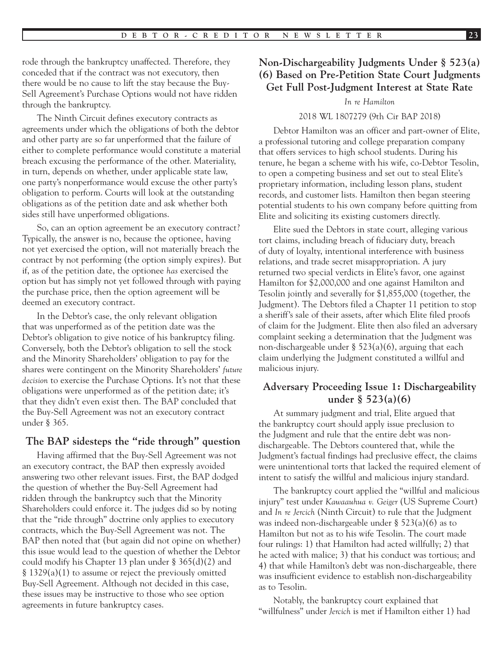rode through the bankruptcy unaffected. Therefore, they conceded that if the contract was not executory, then there would be no cause to lift the stay because the Buy-Sell Agreement's Purchase Options would not have ridden through the bankruptcy.

The Ninth Circuit defines executory contracts as agreements under which the obligations of both the debtor and other party are so far unperformed that the failure of either to complete performance would constitute a material breach excusing the performance of the other. Materiality, in turn, depends on whether, under applicable state law, one party's nonperformance would excuse the other party's obligation to perform. Courts will look at the outstanding obligations as of the petition date and ask whether both sides still have unperformed obligations.

So, can an option agreement be an executory contract? Typically, the answer is no, because the optionee, having not yet exercised the option, will not materially breach the contract by not performing (the option simply expires). But if, as of the petition date, the optionee *has* exercised the option but has simply not yet followed through with paying the purchase price, then the option agreement will be deemed an executory contract.

In the Debtor's case, the only relevant obligation that was unperformed as of the petition date was the Debtor's obligation to give notice of his bankruptcy filing. Conversely, both the Debtor's obligation to sell the stock and the Minority Shareholders' obligation to pay for the shares were contingent on the Minority Shareholders' *future decision* to exercise the Purchase Options. It's not that these obligations were unperformed as of the petition date; it's that they didn't even exist then. The BAP concluded that the Buy-Sell Agreement was not an executory contract under § 365.

## **The BAP sidesteps the "ride through" question**

Having affirmed that the Buy-Sell Agreement was not an executory contract, the BAP then expressly avoided answering two other relevant issues. First, the BAP dodged the question of whether the Buy-Sell Agreement had ridden through the bankruptcy such that the Minority Shareholders could enforce it. The judges did so by noting that the "ride through" doctrine only applies to executory contracts, which the Buy-Sell Agreement was not. The BAP then noted that (but again did not opine on whether) this issue would lead to the question of whether the Debtor could modify his Chapter 13 plan under § 365(d)(2) and § 1329(a)(1) to assume or reject the previously omitted Buy-Sell Agreement. Although not decided in this case, these issues may be instructive to those who see option agreements in future bankruptcy cases.

## **Non-Dischargeability Judgments Under § 523(a) (6) Based on Pre-Petition State Court Judgments Get Full Post-Judgment Interest at State Rate**

#### *In re Hamilton*

#### 2018 WL 1807279 (9th Cir BAP 2018)

Debtor Hamilton was an officer and part-owner of Elite, a professional tutoring and college preparation company that offers services to high school students. During his tenure, he began a scheme with his wife, co-Debtor Tesolin, to open a competing business and set out to steal Elite's proprietary information, including lesson plans, student records, and customer lists. Hamilton then began steering potential students to his own company before quitting from Elite and soliciting its existing customers directly.

Elite sued the Debtors in state court, alleging various tort claims, including breach of fiduciary duty, breach of duty of loyalty, intentional interference with business relations, and trade secret misappropriation. A jury returned two special verdicts in Elite's favor, one against Hamilton for \$2,000,000 and one against Hamilton and Tesolin jointly and severally for \$1,855,000 (together, the Judgment). The Debtors filed a Chapter 11 petition to stop a sheriff's sale of their assets, after which Elite filed proofs of claim for the Judgment. Elite then also filed an adversary complaint seeking a determination that the Judgment was non-dischargeable under § 523(a)(6), arguing that each claim underlying the Judgment constituted a willful and malicious injury.

## **Adversary Proceeding Issue 1: Dischargeability under § 523(a)(6)**

At summary judgment and trial, Elite argued that the bankruptcy court should apply issue preclusion to the Judgment and rule that the entire debt was nondischargeable. The Debtors countered that, while the Judgment's factual findings had preclusive effect, the claims were unintentional torts that lacked the required element of intent to satisfy the willful and malicious injury standard.

The bankruptcy court applied the "willful and malicious injury" test under *Kawaauhua v. Geiger* (US Supreme Court) and *In re Jercich* (Ninth Circuit) to rule that the Judgment was indeed non-dischargeable under § 523(a)(6) as to Hamilton but not as to his wife Tesolin. The court made four rulings: 1) that Hamilton had acted willfully; 2) that he acted with malice; 3) that his conduct was tortious; and 4) that while Hamilton's debt was non-dischargeable, there was insufficient evidence to establish non-dischargeability as to Tesolin.

Notably, the bankruptcy court explained that "willfulness" under *Jercich* is met if Hamilton either 1) had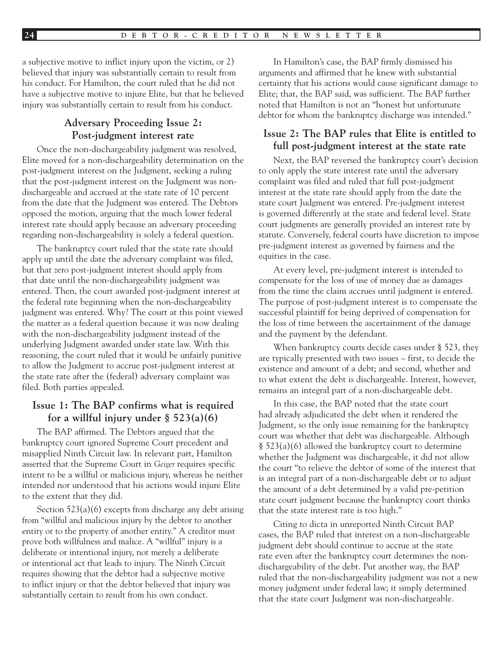a subjective motive to inflict injury upon the victim, or 2) believed that injury was substantially certain to result from his conduct. For Hamilton, the court ruled that he did not have a subjective motive to injure Elite, but that he believed injury was substantially certain to result from his conduct.

## **Adversary Proceeding Issue 2: Post-judgment interest rate**

Once the non-dischargeability judgment was resolved, Elite moved for a non-dischargeability determination on the post-judgment interest on the Judgment, seeking a ruling that the post-judgment interest on the Judgment was nondischargeable and accrued at the state rate of 10 percent from the date that the Judgment was entered. The Debtors opposed the motion, arguing that the much lower federal interest rate should apply because an adversary proceeding regarding non-dischargeability is solely a federal question.

The bankruptcy court ruled that the state rate should apply up until the date the adversary complaint was filed, but that zero post-judgment interest should apply from that date until the non-dischargeability judgment was entered. Then, the court awarded post-judgment interest at the federal rate beginning when the non-dischargeability judgment was entered. Why? The court at this point viewed the matter as a federal question because it was now dealing with the non-dischargeability judgment instead of the underlying Judgment awarded under state law. With this reasoning, the court ruled that it would be unfairly punitive to allow the Judgment to accrue post-judgment interest at the state rate after the (federal) adversary complaint was filed. Both parties appealed.

## **Issue 1: The BAP confirms what is required for a willful injury under § 523(a)(6)**

The BAP affirmed. The Debtors argued that the bankruptcy court ignored Supreme Court precedent and misapplied Ninth Circuit law. In relevant part, Hamilton asserted that the Supreme Court in *Geiger* requires specific intent to be a willful or malicious injury, whereas he neither intended nor understood that his actions would injure Elite to the extent that they did.

Section 523(a)(6) excepts from discharge any debt arising from "willful and malicious injury by the debtor to another entity or to the property of another entity." A creditor must prove both willfulness and malice. A "willful" injury is a deliberate or intentional injury, not merely a deliberate or intentional act that leads to injury. The Ninth Circuit requires showing that the debtor had a subjective motive to inflict injury or that the debtor believed that injury was substantially certain to result from his own conduct.

In Hamilton's case, the BAP firmly dismissed his arguments and affirmed that he knew with substantial certainty that his actions would cause significant damage to Elite; that, the BAP said, was sufficient. The BAP further noted that Hamilton is not an "honest but unfortunate debtor for whom the bankruptcy discharge was intended."

## **Issue 2: The BAP rules that Elite is entitled to full post-judgment interest at the state rate**

Next, the BAP reversed the bankruptcy court's decision to only apply the state interest rate until the adversary complaint was filed and ruled that full post-judgment interest at the state rate should apply from the date the state court Judgment was entered. Pre-judgment interest is governed differently at the state and federal level. State court judgments are generally provided an interest rate by statute. Conversely, federal courts have discretion to impose pre-judgment interest as governed by fairness and the equities in the case.

At every level, pre-judgment interest is intended to compensate for the loss of use of money due as damages from the time the claim accrues until judgment is entered. The purpose of post-judgment interest is to compensate the successful plaintiff for being deprived of compensation for the loss of time between the ascertainment of the damage and the payment by the defendant.

When bankruptcy courts decide cases under § 523, they are typically presented with two issues – first, to decide the existence and amount of a debt; and second, whether and to what extent the debt is dischargeable. Interest, however, remains an integral part of a non-dischargeable debt.

In this case, the BAP noted that the state court had already adjudicated the debt when it rendered the Judgment, so the only issue remaining for the bankruptcy court was whether that debt was dischargeable. Although § 523(a)(6) allowed the bankruptcy court to determine whether the Judgment was dischargeable, it did not allow the court "to relieve the debtor of some of the interest that is an integral part of a non-dischargeable debt or to adjust the amount of a debt determined by a valid pre-petition state court judgment because the bankruptcy court thinks that the state interest rate is too high."

Citing to dicta in unreported Ninth Circuit BAP cases, the BAP ruled that interest on a non-dischargeable judgment debt should continue to accrue at the state rate even after the bankruptcy court determines the nondischargeability of the debt. Put another way, the BAP ruled that the non-dischargeability judgment was not a new money judgment under federal law; it simply determined that the state court Judgment was non-dischargeable.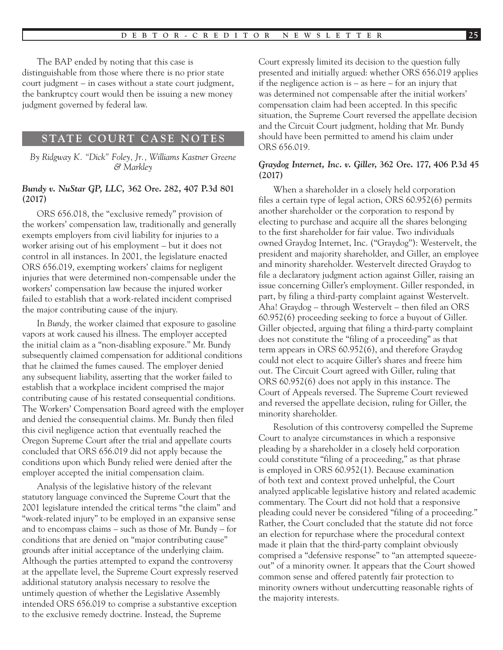The BAP ended by noting that this case is distinguishable from those where there is no prior state court judgment – in cases without a state court judgment, the bankruptcy court would then be issuing a new money judgment governed by federal law.

#### **STATE COURT CASE NOTES**

*By Ridgway K. "Dick" Foley, Jr., Williams Kastner Greene & Markley*

#### *Bundy v. NuStar GP, LLC,* **362 Ore. 282, 407 P.3d 801 (2017)**

ORS 656.018, the "exclusive remedy" provision of the workers' compensation law, traditionally and generally exempts employers from civil liability for injuries to a worker arising out of his employment – but it does not control in all instances. In 2001, the legislature enacted ORS 656.019, exempting workers' claims for negligent injuries that were determined non-compensable under the workers' compensation law because the injured worker failed to establish that a work-related incident comprised the major contributing cause of the injury.

In *Bundy,* the worker claimed that exposure to gasoline vapors at work caused his illness. The employer accepted the initial claim as a "non-disabling exposure." Mr. Bundy subsequently claimed compensation for additional conditions that he claimed the fumes caused. The employer denied any subsequent liability, asserting that the worker failed to establish that a workplace incident comprised the major contributing cause of his restated consequential conditions. The Workers' Compensation Board agreed with the employer and denied the consequential claims. Mr. Bundy then filed this civil negligence action that eventually reached the Oregon Supreme Court after the trial and appellate courts concluded that ORS 656.019 did not apply because the conditions upon which Bundy relied were denied after the employer accepted the initial compensation claim.

Analysis of the legislative history of the relevant statutory language convinced the Supreme Court that the 2001 legislature intended the critical terms "the claim" and "work-related injury" to be employed in an expansive sense and to encompass claims – such as those of Mr. Bundy – for conditions that are denied on "major contributing cause" grounds after initial acceptance of the underlying claim. Although the parties attempted to expand the controversy at the appellate level, the Supreme Court expressly reserved additional statutory analysis necessary to resolve the untimely question of whether the Legislative Assembly intended ORS 656.019 to comprise a substantive exception to the exclusive remedy doctrine. Instead, the Supreme

Court expressly limited its decision to the question fully presented and initially argued: whether ORS 656.019 applies if the negligence action is – as here – for an injury that was determined not compensable after the initial workers' compensation claim had been accepted. In this specific situation, the Supreme Court reversed the appellate decision and the Circuit Court judgment, holding that Mr. Bundy should have been permitted to amend his claim under ORS 656.019.

#### *Graydog Internet, Inc. v. Giller***, 362 Ore. 177, 406 P.3d 45 (2017)**

When a shareholder in a closely held corporation files a certain type of legal action, ORS 60.952(6) permits another shareholder or the corporation to respond by electing to purchase and acquire all the shares belonging to the first shareholder for fair value. Two individuals owned Graydog Internet, Inc. ("Graydog"): Westervelt, the president and majority shareholder, and Giller, an employee and minority shareholder. Westervelt directed Graydog to file a declaratory judgment action against Giller, raising an issue concerning Giller's employment. Giller responded, in part, by filing a third-party complaint against Westervelt. Aha! Graydog – through Westervelt – then filed an ORS 60.952(6) proceeding seeking to force a buyout of Giller. Giller objected, arguing that filing a third-party complaint does not constitute the "filing of a proceeding" as that term appears in ORS 60.952(6), and therefore Graydog could not elect to acquire Giller's shares and freeze him out. The Circuit Court agreed with Giller, ruling that ORS 60.952(6) does not apply in this instance. The Court of Appeals reversed. The Supreme Court reviewed and reversed the appellate decision, ruling for Giller, the minority shareholder.

Resolution of this controversy compelled the Supreme Court to analyze circumstances in which a responsive pleading by a shareholder in a closely held corporation could constitute "filing of a proceeding," as that phrase is employed in ORS 60.952(1). Because examination of both text and context proved unhelpful, the Court analyzed applicable legislative history and related academic commentary. The Court did not hold that a responsive pleading could never be considered "filing of a proceeding." Rather, the Court concluded that the statute did not force an election for repurchase where the procedural context made it plain that the third-party complaint obviously comprised a "defensive response" to "an attempted squeezeout" of a minority owner. It appears that the Court showed common sense and offered patently fair protection to minority owners without undercutting reasonable rights of the majority interests.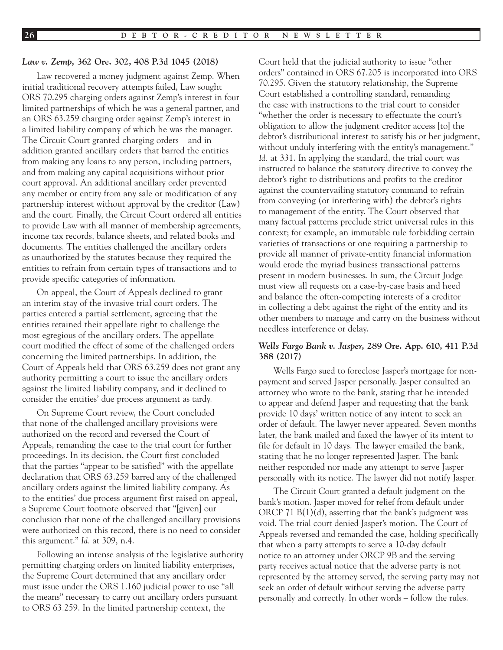#### *Law v. Zemp,* **362 Ore. 302, 408 P.3d 1045 (2018)**

Law recovered a money judgment against Zemp. When initial traditional recovery attempts failed, Law sought ORS 70.295 charging orders against Zemp's interest in four limited partnerships of which he was a general partner, and an ORS 63.259 charging order against Zemp's interest in a limited liability company of which he was the manager. The Circuit Court granted charging orders – and in addition granted ancillary orders that barred the entities from making any loans to any person, including partners, and from making any capital acquisitions without prior court approval. An additional ancillary order prevented any member or entity from any sale or modification of any partnership interest without approval by the creditor (Law) and the court. Finally, the Circuit Court ordered all entities to provide Law with all manner of membership agreements, income tax records, balance sheets, and related books and documents. The entities challenged the ancillary orders as unauthorized by the statutes because they required the entities to refrain from certain types of transactions and to provide specific categories of information.

On appeal, the Court of Appeals declined to grant an interim stay of the invasive trial court orders. The parties entered a partial settlement, agreeing that the entities retained their appellate right to challenge the most egregious of the ancillary orders. The appellate court modified the effect of some of the challenged orders concerning the limited partnerships. In addition, the Court of Appeals held that ORS 63.259 does not grant any authority permitting a court to issue the ancillary orders against the limited liability company, and it declined to consider the entities' due process argument as tardy.

On Supreme Court review, the Court concluded that none of the challenged ancillary provisions were authorized on the record and reversed the Court of Appeals, remanding the case to the trial court for further proceedings. In its decision, the Court first concluded that the parties "appear to be satisfied" with the appellate declaration that ORS 63.259 barred any of the challenged ancillary orders against the limited liability company. As to the entities' due process argument first raised on appeal, a Supreme Court footnote observed that "[given] our conclusion that none of the challenged ancillary provisions were authorized on this record, there is no need to consider this argument." *Id.* at 309, n.4.

Following an intense analysis of the legislative authority permitting charging orders on limited liability enterprises, the Supreme Court determined that any ancillary order must issue under the ORS 1.160 judicial power to use "all the means" necessary to carry out ancillary orders pursuant to ORS 63.259. In the limited partnership context, the

Court held that the judicial authority to issue "other orders" contained in ORS 67.205 is incorporated into ORS 70.295. Given the statutory relationship, the Supreme Court established a controlling standard, remanding the case with instructions to the trial court to consider "whether the order is necessary to effectuate the court's obligation to allow the judgment creditor access [to] the debtor's distributional interest to satisfy his or her judgment, without unduly interfering with the entity's management." *Id.* at 331. In applying the standard, the trial court was instructed to balance the statutory directive to convey the debtor's right to distributions and profits to the creditor against the countervailing statutory command to refrain from conveying (or interfering with) the debtor's rights to management of the entity. The Court observed that many factual patterns preclude strict universal rules in this context; for example, an immutable rule forbidding certain varieties of transactions or one requiring a partnership to provide all manner of private-entity financial information would erode the myriad business transactional patterns present in modern businesses. In sum, the Circuit Judge must view all requests on a case-by-case basis and heed and balance the often-competing interests of a creditor in collecting a debt against the right of the entity and its other members to manage and carry on the business without needless interference or delay.

#### *Wells Fargo Bank v. Jasper***, 289 Ore. App. 610, 411 P.3d 388 (2017)**

Wells Fargo sued to foreclose Jasper's mortgage for nonpayment and served Jasper personally. Jasper consulted an attorney who wrote to the bank, stating that he intended to appear and defend Jasper and requesting that the bank provide 10 days' written notice of any intent to seek an order of default. The lawyer never appeared. Seven months later, the bank mailed and faxed the lawyer of its intent to file for default in 10 days. The lawyer emailed the bank, stating that he no longer represented Jasper. The bank neither responded nor made any attempt to serve Jasper personally with its notice. The lawyer did not notify Jasper.

The Circuit Court granted a default judgment on the bank's motion. Jasper moved for relief from default under ORCP 71 B(1)(d), asserting that the bank's judgment was void. The trial court denied Jasper's motion. The Court of Appeals reversed and remanded the case, holding specifically that when a party attempts to serve a 10-day default notice to an attorney under ORCP 9B and the serving party receives actual notice that the adverse party is not represented by the attorney served, the serving party may not seek an order of default without serving the adverse party personally and correctly. In other words – follow the rules.